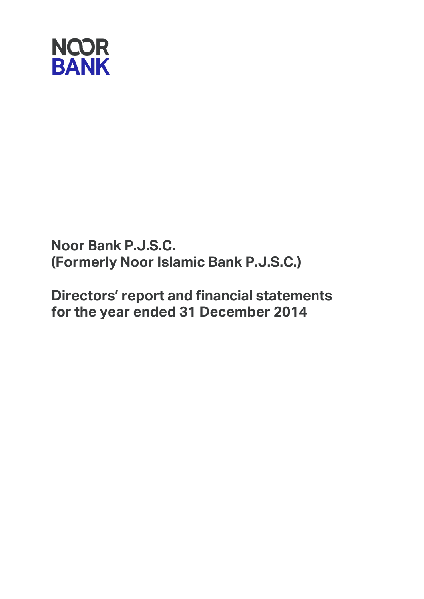

**Noor Bank P.J.S.C. (Formerly Noor Islamic Bank P.J.S.C.)**

**Directors' report and financial statements for the year ended 31 December 2014**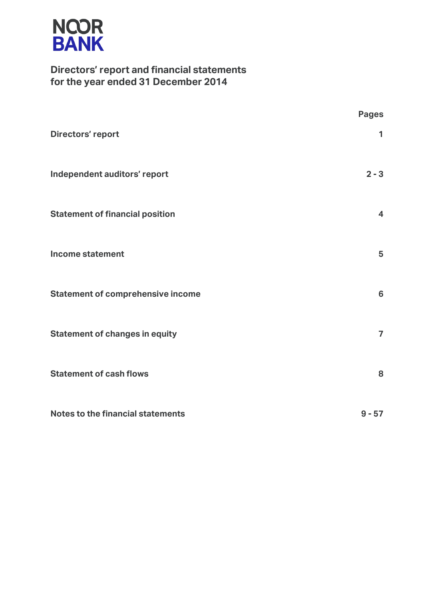

## **Directors' report and financial statements for the year ended 31 December 2014**

|                                          | <b>Pages</b>             |
|------------------------------------------|--------------------------|
| <b>Directors' report</b>                 | 1                        |
| Independent auditors' report             | $2 - 3$                  |
| <b>Statement of financial position</b>   | $\overline{\mathbf{4}}$  |
| Income statement                         | 5                        |
| <b>Statement of comprehensive income</b> | $6\phantom{a}$           |
| <b>Statement of changes in equity</b>    | $\overline{\phantom{a}}$ |
| <b>Statement of cash flows</b>           | 8                        |
| Notes to the financial statements        | $9 - 57$                 |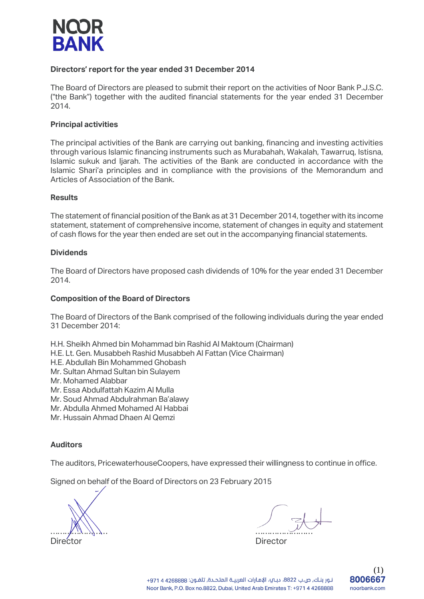

### **Directors' report for the year ended 31 December 2014**

The Board of Directors are pleased to submit their report on the activities of Noor Bank P.J.S.C. ("the Bank") together with the audited financial statements for the year ended 31 December 2014.

### **Principal activities**

The principal activities of the Bank are carrying out banking, financing and investing activities through various Islamic financing instruments such as Murabahah, Wakalah, Tawarruq, Istisna, Islamic sukuk and Ijarah. The activities of the Bank are conducted in accordance with the Islamic Shari'a principles and in compliance with the provisions of the Memorandum and Articles of Association of the Bank.

### **Results**

The statement of financial position of the Bank as at 31 December 2014, together with its income statement, statement of comprehensive income, statement of changes in equity and statement of cash flows for the year then ended are set out in the accompanying financial statements.

### **Dividends**

The Board of Directors have proposed cash dividends of 10% for the year ended 31 December 2014.

### **Composition of the Board of Directors**

The Board of Directors of the Bank comprised of the following individuals during the year ended 31 December 2014:

- H.H. Sheikh Ahmed bin Mohammad bin Rashid Al Maktoum (Chairman)
- H.E. Lt. Gen. Musabbeh Rashid Musabbeh Al Fattan (Vice Chairman)
- H.E. Abdullah Bin Mohammed Ghobash
- Mr. Sultan Ahmad Sultan bin Sulayem
- Mr. Mohamed Alabbar
- Mr. Essa Abdulfattah Kazim Al Mulla
- Mr. Soud Ahmad Abdulrahman Ba'alawy
- Mr. Abdulla Ahmed Mohamed Al Habbai
- Mr. Hussain Ahmad Dhaen Al Qemzi

### **Auditors**

The auditors, PricewaterhouseCoopers, have expressed their willingness to continue in office.

Signed on behalf of the Board of Directors on 23 February 2015

Director Director

 $\mathbb{Z}$  ,  $\mathbb{Z}$  ,  $\mathbb{Z}$  ,  $\mathbb{Z}$  ,  $\mathbb{Z}$  ,  $\mathbb{Z}$  ,  $\mathbb{Z}$  ,  $\mathbb{Z}$  ,  $\mathbb{Z}$  ,  $\mathbb{Z}$  ,  $\mathbb{Z}$  ,  $\mathbb{Z}$  ,  $\mathbb{Z}$  ,  $\mathbb{Z}$  ,  $\mathbb{Z}$  ,  $\mathbb{Z}$  ,  $\mathbb{Z}$  ,  $\mathbb{Z}$  ,  $\mathbb{Z}$  ,  $\mathbb{Z}$  ,

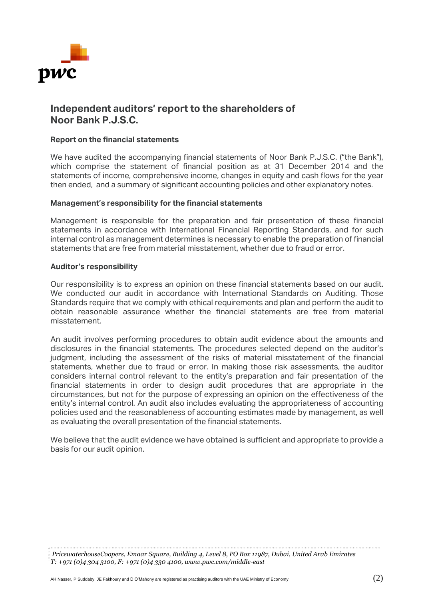

## **Independent auditors' report to the shareholders of Noor Bank P.J.S.C.**

### **Report on the financial statements**

We have audited the accompanying financial statements of Noor Bank P.J.S.C. ("the Bank"), which comprise the statement of financial position as at 31 December 2014 and the statements of income, comprehensive income, changes in equity and cash flows for the year then ended, and a summary of significant accounting policies and other explanatory notes.

### **Management's responsibility for the financial statements**

Management is responsible for the preparation and fair presentation of these financial statements in accordance with International Financial Reporting Standards, and for such internal control as management determines is necessary to enable the preparation of financial statements that are free from material misstatement, whether due to fraud or error.

### **Auditor's responsibility**

Our responsibility is to express an opinion on these financial statements based on our audit. We conducted our audit in accordance with International Standards on Auditing. Those Standards require that we comply with ethical requirements and plan and perform the audit to obtain reasonable assurance whether the financial statements are free from material misstatement.

An audit involves performing procedures to obtain audit evidence about the amounts and disclosures in the financial statements. The procedures selected depend on the auditor's judgment, including the assessment of the risks of material misstatement of the financial statements, whether due to fraud or error. In making those risk assessments, the auditor considers internal control relevant to the entity's preparation and fair presentation of the financial statements in order to design audit procedures that are appropriate in the circumstances, but not for the purpose of expressing an opinion on the effectiveness of the entity's internal control. An audit also includes evaluating the appropriateness of accounting policies used and the reasonableness of accounting estimates made by management, as well as evaluating the overall presentation of the financial statements.

We believe that the audit evidence we have obtained is sufficient and appropriate to provide a basis for our audit opinion.

*PricewaterhouseCoopers, Emaar Square, Building 4, Level 8, PO Box 11987, Dubai, United Arab Emirates T: +971 (0)4 304 3100, F: +971 (0)4 330 4100, www.pwc.com/middle-east*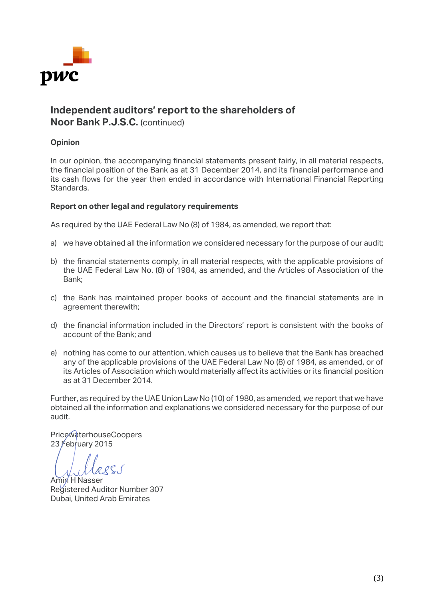

## **Independent auditors' report to the shareholders of Noor Bank P.J.S.C.** (continued)

### **Opinion**

In our opinion, the accompanying financial statements present fairly, in all material respects, the financial position of the Bank as at 31 December 2014, and its financial performance and its cash flows for the year then ended in accordance with International Financial Reporting Standards.

### **Report on other legal and regulatory requirements**

As required by the UAE Federal Law No (8) of 1984, as amended, we report that:

- a) we have obtained all the information we considered necessary for the purpose of our audit;
- b) the financial statements comply, in all material respects, with the applicable provisions of the UAE Federal Law No. (8) of 1984, as amended, and the Articles of Association of the Bank;
- c) the Bank has maintained proper books of account and the financial statements are in agreement therewith;
- d) the financial information included in the Directors' report is consistent with the books of account of the Bank; and
- e) nothing has come to our attention, which causes us to believe that the Bank has breached any of the applicable provisions of the UAE Federal Law No (8) of 1984, as amended, or of its Articles of Association which would materially affect its activities or its financial position as at 31 December 2014.

Further, as required by the UAE Union Law No (10) of 1980, as amended, we report that we have obtained all the information and explanations we considered necessary for the purpose of our audit.

PricewaterhouseCoopers 23  $F$ ebruary 2015

 $QQC$ 

Amin H Nasser Registered Auditor Number 307 Dubai, United Arab Emirates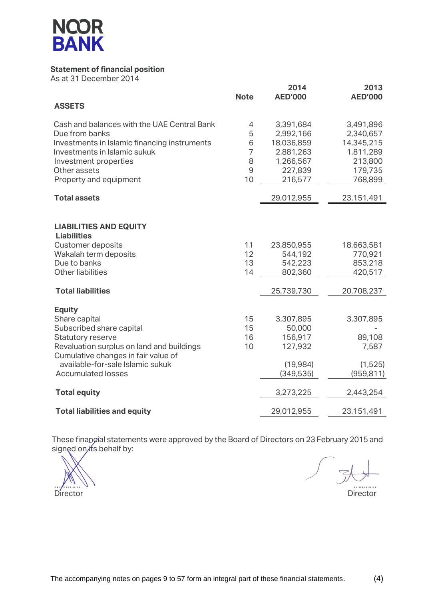

## **Statement of financial position**

As at 31 December 2014

|                                              | <b>Note</b>    | 2014<br><b>AED'000</b> | 2013<br><b>AED'000</b> |
|----------------------------------------------|----------------|------------------------|------------------------|
| <b>ASSETS</b>                                |                |                        |                        |
| Cash and balances with the UAE Central Bank  | 4              | 3,391,684              | 3,491,896              |
| Due from banks                               | 5              | 2,992,166              | 2,340,657              |
| Investments in Islamic financing instruments | 6              | 18,036,859             | 14,345,215             |
| Investments in Islamic sukuk                 | $\overline{7}$ | 2,881,263              | 1,811,289              |
| Investment properties                        | 8              | 1,266,567              | 213,800                |
| Other assets                                 | 9              | 227,839                | 179,735                |
| Property and equipment                       | 10             | 216,577                | 768,899                |
| <b>Total assets</b>                          |                | 29,012,955             | 23,151,491             |
|                                              |                |                        |                        |
| <b>LIABILITIES AND EQUITY</b>                |                |                        |                        |
| <b>Liabilities</b>                           |                |                        |                        |
| <b>Customer deposits</b>                     | 11             | 23,850,955             | 18,663,581             |
| Wakalah term deposits                        | 12             | 544,192                | 770,921                |
| Due to banks                                 | 13             | 542,223                | 853,218                |
| <b>Other liabilities</b>                     | 14             | 802,360                | 420,517                |
| <b>Total liabilities</b>                     |                | 25,739,730             | 20,708,237             |
| <b>Equity</b>                                |                |                        |                        |
| Share capital                                | 15             | 3,307,895              | 3,307,895              |
| Subscribed share capital                     | 15             | 50,000                 |                        |
| Statutory reserve                            | 16             | 156,917                | 89,108                 |
| Revaluation surplus on land and buildings    | 10             | 127,932                | 7,587                  |
| Cumulative changes in fair value of          |                |                        |                        |
| available-for-sale Islamic sukuk             |                | (19, 984)              | (1,525)                |
| <b>Accumulated losses</b>                    |                | (349, 535)             | (959, 811)             |
| <b>Total equity</b>                          |                | 3,273,225              | 2,443,254              |
| <b>Total liabilities and equity</b>          |                | 29,012,955             | 23,151,491             |

These finangial statements were approved by the Board of Directors on 23 February 2015 and signed on its behalf by:

Director Director

 $\approx$  $\mathcal{L} \setminus \mathcal{L} \setminus \mathcal{L} \setminus \mathcal{L}$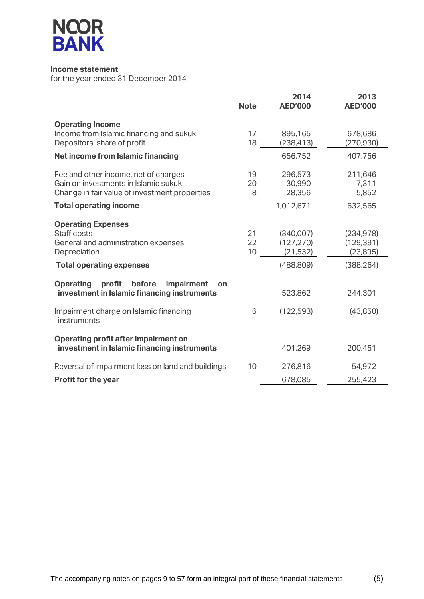

### **Income statement**

|                                                                                                                                                                  | <b>Note</b>    | 2014<br><b>AED'000</b>               | 2013<br><b>AED'000</b>                |
|------------------------------------------------------------------------------------------------------------------------------------------------------------------|----------------|--------------------------------------|---------------------------------------|
| <b>Operating Income</b><br>Income from Islamic financing and sukuk<br>Depositors' share of profit                                                                | 17<br>18       | 895,165<br>(238,413)                 | 678,686<br>(270, 930)                 |
| <b>Net income from Islamic financing</b>                                                                                                                         |                | 656,752                              | 407,756                               |
| Fee and other income, net of charges<br>Gain on investments in Islamic sukuk<br>Change in fair value of investment properties                                    | 19<br>20<br>8  | 296,573<br>30,990<br>28,356          | 211,646<br>7,311<br>5,852             |
| <b>Total operating income</b>                                                                                                                                    |                | 1,012,671                            | 632,565                               |
| <b>Operating Expenses</b><br>Staff costs<br>General and administration expenses<br>Depreciation                                                                  | 21<br>22<br>10 | (340,007)<br>(127, 270)<br>(21, 532) | (234, 978)<br>(129, 391)<br>(23, 895) |
| <b>Total operating expenses</b>                                                                                                                                  |                | (488, 809)                           | (388, 264)                            |
| <b>Operating</b><br>profit<br>before<br>impairment<br>on<br>investment in Islamic financing instruments<br>Impairment charge on Islamic financing<br>instruments | 6              | 523,862<br>(122, 593)                | 244,301<br>(43,850)                   |
| <b>Operating profit after impairment on</b><br>investment in Islamic financing instruments                                                                       |                | 401,269                              | 200,451                               |
| Reversal of impairment loss on land and buildings                                                                                                                | 10             | 276,816                              | 54,972                                |
| <b>Profit for the year</b>                                                                                                                                       |                | 678,085                              | 255,423                               |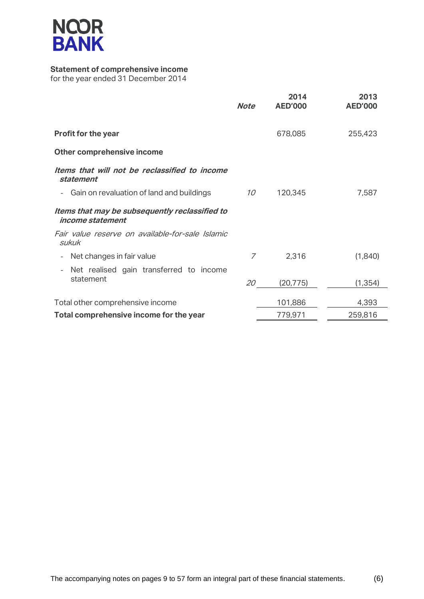

## **Statement of comprehensive income**

|                                                                           | <b>Note</b> | 2014<br><b>AED'000</b> | 2013<br><b>AED'000</b> |
|---------------------------------------------------------------------------|-------------|------------------------|------------------------|
| <b>Profit for the year</b>                                                |             | 678,085                | 255,423                |
| Other comprehensive income                                                |             |                        |                        |
| Items that will not be reclassified to income<br>statement                |             |                        |                        |
| Gain on revaluation of land and buildings                                 | 10          | 120,345                | 7,587                  |
| Items that may be subsequently reclassified to<br><i>income statement</i> |             |                        |                        |
| Fair value reserve on available-for-sale Islamic<br>sukuk                 |             |                        |                        |
| Net changes in fair value                                                 | 7           | 2,316                  | (1,840)                |
| Net realised gain transferred to income<br>statement                      | 20          | (20, 775)              | (1, 354)               |
| Total other comprehensive income                                          |             | 101,886                | 4,393                  |
| Total comprehensive income for the year                                   |             | 779,971                | 259,816                |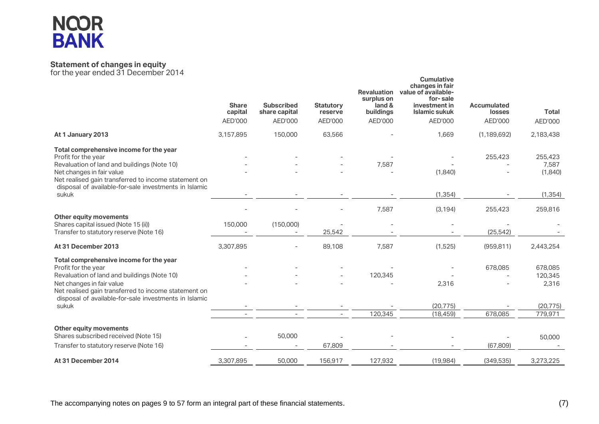# **NCOR<br>BANK**

### **Statement of changes in equity**

|                                                                                                                                                                                                                                                                      | <b>Share</b><br>capital | <b>Subscribed</b><br>share capital    | <b>Statutory</b><br>reserve | <b>Revaluation</b><br>surplus on<br>land &<br>buildings | <b>Cumulative</b><br>changes in fair<br>value of available-<br>for-sale<br>investment in<br><b>Islamic sukuk</b> | <b>Accumulated</b><br>losses | <b>Total</b>                                        |
|----------------------------------------------------------------------------------------------------------------------------------------------------------------------------------------------------------------------------------------------------------------------|-------------------------|---------------------------------------|-----------------------------|---------------------------------------------------------|------------------------------------------------------------------------------------------------------------------|------------------------------|-----------------------------------------------------|
|                                                                                                                                                                                                                                                                      | AED'000                 | AED'000                               | AED'000                     | AED'000                                                 | AED'000                                                                                                          | AED'000                      | AED'000                                             |
| At 1 January 2013                                                                                                                                                                                                                                                    | 3,157,895               | 150,000                               | 63,566                      |                                                         | 1,669                                                                                                            | (1, 189, 692)                | 2,183,438                                           |
| Total comprehensive income for the year<br>Profit for the year<br>Revaluation of land and buildings (Note 10)<br>Net changes in fair value<br>Net realised gain transferred to income statement on                                                                   |                         |                                       |                             | 7,587                                                   | (1,840)                                                                                                          | 255,423                      | 255,423<br>7,587<br>(1,840)                         |
| disposal of available-for-sale investments in Islamic<br>sukuk                                                                                                                                                                                                       |                         |                                       |                             |                                                         | (1, 354)                                                                                                         |                              | (1, 354)                                            |
| <b>Other equity movements</b><br>Shares capital issued (Note 15 (ii))<br>Transfer to statutory reserve (Note 16)                                                                                                                                                     | 150,000                 | (150,000)<br>$\overline{\phantom{a}}$ | 25,542                      | 7,587                                                   | (3, 194)                                                                                                         | 255,423<br>(25, 542)         | 259,816                                             |
| At 31 December 2013                                                                                                                                                                                                                                                  | 3,307,895               |                                       | 89,108                      | 7,587                                                   | (1,525)                                                                                                          | (959, 811)                   | 2,443,254                                           |
| Total comprehensive income for the year<br>Profit for the year<br>Revaluation of land and buildings (Note 10)<br>Net changes in fair value<br>Net realised gain transferred to income statement on<br>disposal of available-for-sale investments in Islamic<br>sukuk |                         |                                       | $\sim$                      | 120,345<br>120,345                                      | 2,316<br>(20, 775)<br>(18, 459)                                                                                  | 678,085<br>678,085           | 678,085<br>120,345<br>2,316<br>(20, 775)<br>779,971 |
| <b>Other equity movements</b><br>Shares subscribed received (Note 15)<br>Transfer to statutory reserve (Note 16)                                                                                                                                                     |                         | 50,000                                | 67,809                      |                                                         |                                                                                                                  | (67, 809)                    | 50,000                                              |
| At 31 December 2014                                                                                                                                                                                                                                                  | 3,307,895               | 50,000                                | 156,917                     | 127,932                                                 | (19, 984)                                                                                                        | (349, 535)                   | 3,273,225                                           |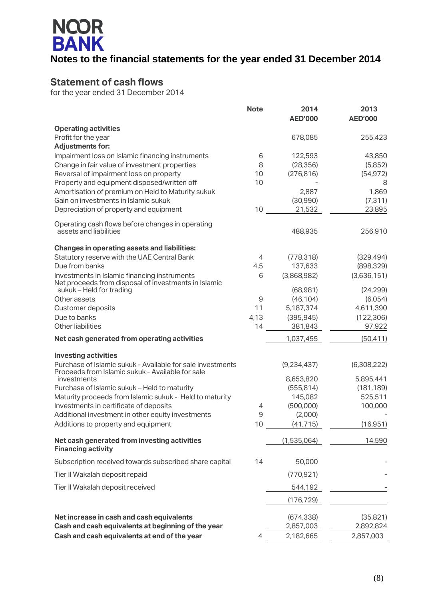# **NCOR<br>BANK Notes to the financial statements for the year ended 31 December 2014**

## **Statement of cash flows**

|                                                                                                                | <b>Note</b> | 2014<br><b>AED'000</b> | 2013<br><b>AED'000</b> |
|----------------------------------------------------------------------------------------------------------------|-------------|------------------------|------------------------|
| <b>Operating activities</b>                                                                                    |             |                        |                        |
| Profit for the year                                                                                            |             | 678,085                | 255,423                |
| <b>Adjustments for:</b>                                                                                        |             |                        |                        |
| Impairment loss on Islamic financing instruments<br>Change in fair value of investment properties              | 6<br>8      | 122,593<br>(28, 356)   | 43,850<br>(5,852)      |
| Reversal of impairment loss on property                                                                        | 10          | (276, 816)             | (54, 972)              |
| Property and equipment disposed/written off                                                                    | 10          |                        | 8                      |
| Amortisation of premium on Held to Maturity sukuk                                                              |             | 2,887                  | 1,869                  |
| Gain on investments in Islamic sukuk                                                                           |             | (30, 990)              | (7, 311)               |
| Depreciation of property and equipment                                                                         | 10          | 21,532                 | 23,895                 |
| Operating cash flows before changes in operating                                                               |             |                        |                        |
| assets and liabilities                                                                                         |             | 488,935                | 256,910                |
| <b>Changes in operating assets and liabilities:</b>                                                            |             |                        |                        |
| Statutory reserve with the UAE Central Bank                                                                    | 4           | (778, 318)             | (329, 494)             |
| Due from banks                                                                                                 | 4,5         | 137,633                | (898, 329)             |
| Investments in Islamic financing instruments<br>Net proceeds from disposal of investments in Islamic           | 6           | (3,868,982)            | (3,636,151)            |
| sukuk - Held for trading                                                                                       |             | (68, 981)              | (24, 299)              |
| Other assets<br>Customer deposits                                                                              | 9<br>11     | (46, 104)<br>5,187,374 | (6,054)<br>4,611,390   |
| Due to banks                                                                                                   | 4,13        | (395, 945)             | (122, 306)             |
| Other liabilities                                                                                              | 14          | 381,843                | 97,922                 |
| Net cash generated from operating activities                                                                   |             | 1,037,455              | (50, 411)              |
| <b>Investing activities</b>                                                                                    |             |                        |                        |
| Purchase of Islamic sukuk - Available for sale investments<br>Proceeds from Islamic sukuk - Available for sale |             | (9, 234, 437)          | (6,308,222)            |
| investments                                                                                                    |             | 8,653,820              | 5,895,441              |
| Purchase of Islamic sukuk - Held to maturity                                                                   |             | (555, 814)             | (181, 189)             |
| Maturity proceeds from Islamic sukuk - Held to maturity                                                        |             | 145,082                | 525,511                |
| Investments in certificate of deposits                                                                         | 4           | (500,000)              | 100,000                |
| Additional investment in other equity investments                                                              | 9           | (2,000)                |                        |
| Additions to property and equipment                                                                            | 10          | (41, 715)              | (16, 951)              |
| Net cash generated from investing activities<br><b>Financing activity</b>                                      |             | (1,535,064)            | 14,590                 |
| Subscription received towards subscribed share capital                                                         | 14          | 50,000                 |                        |
| Tier II Wakalah deposit repaid                                                                                 |             | (770, 921)             |                        |
| Tier II Wakalah deposit received                                                                               |             | 544,192                |                        |
|                                                                                                                |             | (176, 729)             |                        |
| Net increase in cash and cash equivalents                                                                      |             | (674, 338)             | (35,821)               |
| Cash and cash equivalents at beginning of the year                                                             |             | 2,857,003              | 2,892,824              |
| Cash and cash equivalents at end of the year                                                                   | 4           | 2,182,665              | 2,857,003              |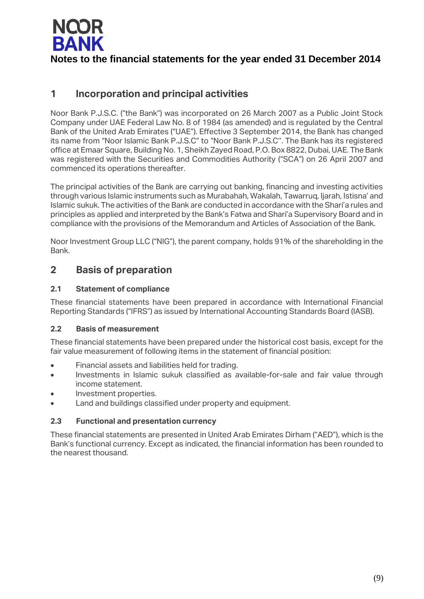

**Notes to the financial statements for the year ended 31 December 2014**

## **1 Incorporation and principal activities**

Noor Bank P.J.S.C. ("the Bank") was incorporated on 26 March 2007 as a Public Joint Stock Company under UAE Federal Law No. 8 of 1984 (as amended) and is regulated by the Central Bank of the United Arab Emirates ("UAE"). Effective 3 September 2014, the Bank has changed its name from "Noor Islamic Bank P.J.S.C" to "Noor Bank P.J.S.C''. The Bank has its registered office at Emaar Square, Building No. 1, Sheikh Zayed Road, P.O. Box 8822, Dubai, UAE. The Bank was registered with the Securities and Commodities Authority ("SCA") on 26 April 2007 and commenced its operations thereafter.

The principal activities of the Bank are carrying out banking, financing and investing activities through various Islamic instruments such as Murabahah, Wakalah, Tawarruq, Ijarah, Istisna' and Islamic sukuk. The activities of the Bank are conducted in accordance with the Shari'a rules and principles as applied and interpreted by the Bank's Fatwa and Shari'a Supervisory Board and in compliance with the provisions of the Memorandum and Articles of Association of the Bank.

Noor Investment Group LLC ("NIG"), the parent company, holds 91% of the shareholding in the Bank.

## **2 Basis of preparation**

### **2.1 Statement of compliance**

These financial statements have been prepared in accordance with International Financial Reporting Standards ("IFRS") as issued by International Accounting Standards Board (IASB).

### **2.2 Basis of measurement**

These financial statements have been prepared under the historical cost basis, except for the fair value measurement of following items in the statement of financial position:

- Financial assets and liabilities held for trading.
- Investments in Islamic sukuk classified as available-for-sale and fair value through income statement.
- Investment properties.
- Land and buildings classified under property and equipment.

### **2.3 Functional and presentation currency**

These financial statements are presented in United Arab Emirates Dirham ("AED"), which is the Bank's functional currency. Except as indicated, the financial information has been rounded to the nearest thousand.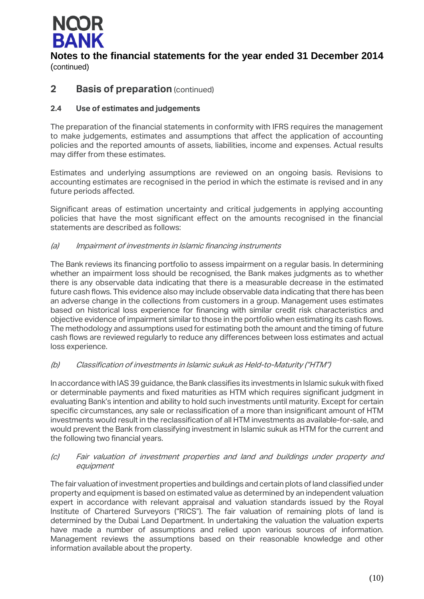

## **2 Basis of preparation** (continued)

### **2.4 Use of estimates and judgements**

The preparation of the financial statements in conformity with IFRS requires the management to make judgements, estimates and assumptions that affect the application of accounting policies and the reported amounts of assets, liabilities, income and expenses. Actual results may differ from these estimates.

Estimates and underlying assumptions are reviewed on an ongoing basis. Revisions to accounting estimates are recognised in the period in which the estimate is revised and in any future periods affected.

Significant areas of estimation uncertainty and critical judgements in applying accounting policies that have the most significant effect on the amounts recognised in the financial statements are described as follows:

### (a) Impairment of investments in Islamic financing instruments

The Bank reviews its financing portfolio to assess impairment on a regular basis. In determining whether an impairment loss should be recognised, the Bank makes judgments as to whether there is any observable data indicating that there is a measurable decrease in the estimated future cash flows. This evidence also may include observable data indicating that there has been an adverse change in the collections from customers in a group. Management uses estimates based on historical loss experience for financing with similar credit risk characteristics and objective evidence of impairment similar to those in the portfolio when estimating its cash flows. The methodology and assumptions used for estimating both the amount and the timing of future cash flows are reviewed regularly to reduce any differences between loss estimates and actual loss experience.

### (b) Classification of investments in Islamic sukuk as Held-to-Maturity ("HTM")

In accordance with IAS 39 guidance, the Bank classifies its investments in Islamic sukuk with fixed or determinable payments and fixed maturities as HTM which requires significant judgment in evaluating Bank's intention and ability to hold such investments until maturity. Except for certain specific circumstances, any sale or reclassification of a more than insignificant amount of HTM investments would result in the reclassification of all HTM investments as available-for-sale, and would prevent the Bank from classifying investment in Islamic sukuk as HTM for the current and the following two financial years.

### (c) Fair valuation of investment properties and land and buildings under property and equipment

The fair valuation of investment properties and buildings and certain plots of land classified under property and equipment is based on estimated value as determined by an independent valuation expert in accordance with relevant appraisal and valuation standards issued by the Royal Institute of Chartered Surveyors ("RICS"). The fair valuation of remaining plots of land is determined by the Dubai Land Department. In undertaking the valuation the valuation experts have made a number of assumptions and relied upon various sources of information. Management reviews the assumptions based on their reasonable knowledge and other information available about the property.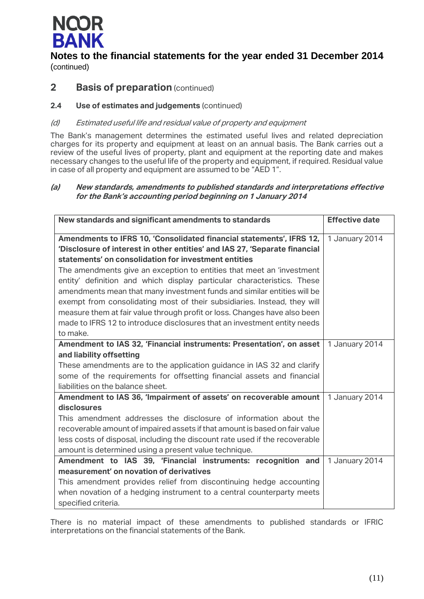

## **2 Basis of preparation** (continued)

### **2.4 Use of estimates and judgements** (continued)

### (d) Estimated useful life and residual value of property and equipment

The Bank's management determines the estimated useful lives and related depreciation charges for its property and equipment at least on an annual basis. The Bank carries out a review of the useful lives of property, plant and equipment at the reporting date and makes necessary changes to the useful life of the property and equipment, if required. Residual value in case of all property and equipment are assumed to be "AED 1".

### **(a) New standards, amendments to published standards and interpretations effective for the Bank's accounting period beginning on 1 January 2014**

| New standards and significant amendments to standards                       | <b>Effective date</b> |
|-----------------------------------------------------------------------------|-----------------------|
|                                                                             |                       |
| Amendments to IFRS 10, 'Consolidated financial statements', IFRS 12,        | 1 January 2014        |
| 'Disclosure of interest in other entities' and IAS 27, 'Separate financial  |                       |
| statements' on consolidation for investment entities                        |                       |
| The amendments give an exception to entities that meet an 'investment       |                       |
| entity' definition and which display particular characteristics. These      |                       |
| amendments mean that many investment funds and similar entities will be     |                       |
| exempt from consolidating most of their subsidiaries. Instead, they will    |                       |
| measure them at fair value through profit or loss. Changes have also been   |                       |
| made to IFRS 12 to introduce disclosures that an investment entity needs    |                       |
| to make.                                                                    |                       |
| Amendment to IAS 32, 'Financial instruments: Presentation', on asset        | 1 January 2014        |
| and liability offsetting                                                    |                       |
| These amendments are to the application guidance in IAS 32 and clarify      |                       |
| some of the requirements for offsetting financial assets and financial      |                       |
| liabilities on the balance sheet.                                           |                       |
| Amendment to IAS 36, 'Impairment of assets' on recoverable amount           | 1 January 2014        |
| disclosures                                                                 |                       |
| This amendment addresses the disclosure of information about the            |                       |
| recoverable amount of impaired assets if that amount is based on fair value |                       |
| less costs of disposal, including the discount rate used if the recoverable |                       |
| amount is determined using a present value technique.                       |                       |
| Amendment to IAS 39, 'Financial instruments: recognition and                | 1 January 2014        |
| measurement' on novation of derivatives                                     |                       |
| This amendment provides relief from discontinuing hedge accounting          |                       |
| when novation of a hedging instrument to a central counterparty meets       |                       |
| specified criteria.                                                         |                       |

There is no material impact of these amendments to published standards or IFRIC interpretations on the financial statements of the Bank.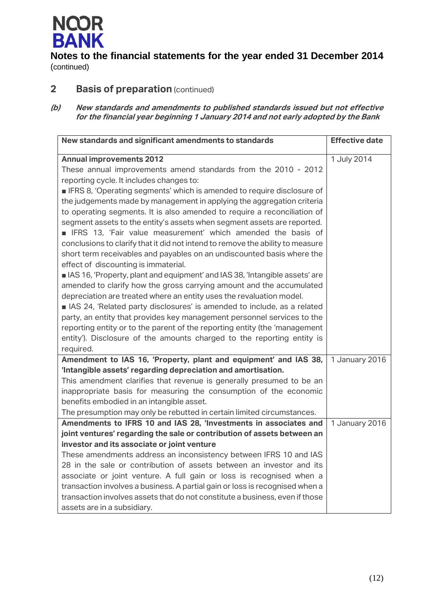

## **2 Basis of preparation** (continued)

**(b) New standards and amendments to published standards issued but not effective for the financial year beginning 1 January 2014 and not early adopted by the Bank**

| New standards and significant amendments to standards                                                                                                                                                                                                                                                                                                                                                                                                                                                                                                                                                                                                                                                                                      | <b>Effective date</b> |
|--------------------------------------------------------------------------------------------------------------------------------------------------------------------------------------------------------------------------------------------------------------------------------------------------------------------------------------------------------------------------------------------------------------------------------------------------------------------------------------------------------------------------------------------------------------------------------------------------------------------------------------------------------------------------------------------------------------------------------------------|-----------------------|
| <b>Annual improvements 2012</b><br>These annual improvements amend standards from the 2010 - 2012<br>reporting cycle. It includes changes to:<br><b>IFRS 8, 'Operating segments' which is amended to require disclosure of</b><br>the judgements made by management in applying the aggregation criteria<br>to operating segments. It is also amended to require a reconciliation of<br>segment assets to the entity's assets when segment assets are reported.<br><b>IFRS</b> 13, 'Fair value measurement' which amended the basis of<br>conclusions to clarify that it did not intend to remove the ability to measure<br>short term receivables and payables on an undiscounted basis where the<br>effect of discounting is immaterial. | 1 July 2014           |
| As 16, 'Property, plant and equipment' and IAS 38, 'Intangible assets' are<br>amended to clarify how the gross carrying amount and the accumulated<br>depreciation are treated where an entity uses the revaluation model.<br>AS 24, 'Related party disclosures' is amended to include, as a related<br>party, an entity that provides key management personnel services to the<br>reporting entity or to the parent of the reporting entity (the 'management<br>entity'). Disclosure of the amounts charged to the reporting entity is<br>required.                                                                                                                                                                                       |                       |
| Amendment to IAS 16, 'Property, plant and equipment' and IAS 38,<br>'Intangible assets' regarding depreciation and amortisation.<br>This amendment clarifies that revenue is generally presumed to be an<br>inappropriate basis for measuring the consumption of the economic<br>benefits embodied in an intangible asset.<br>The presumption may only be rebutted in certain limited circumstances.                                                                                                                                                                                                                                                                                                                                       | 1 January 2016        |
| Amendments to IFRS 10 and IAS 28, 'Investments in associates and<br>joint ventures' regarding the sale or contribution of assets between an<br>investor and its associate or joint venture<br>These amendments address an inconsistency between IFRS 10 and IAS<br>28 in the sale or contribution of assets between an investor and its<br>associate or joint venture. A full gain or loss is recognised when a<br>transaction involves a business. A partial gain or loss is recognised when a<br>transaction involves assets that do not constitute a business, even if those<br>assets are in a subsidiary.                                                                                                                             | 1 January 2016        |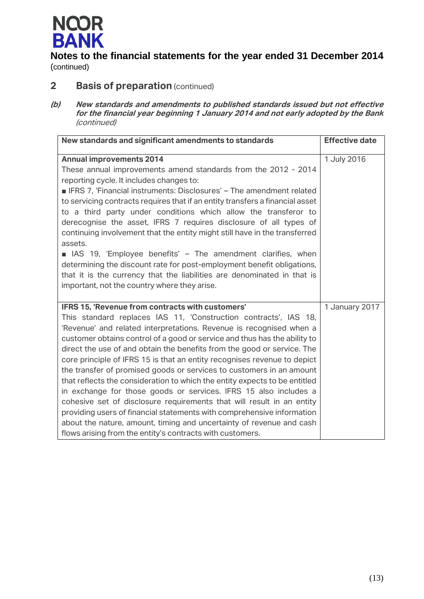

## **2 Basis of preparation** (continued)

**(b) New standards and amendments to published standards issued but not effective for the financial year beginning 1 January 2014 and not early adopted by the Bank**  (continued)

| New standards and significant amendments to standards                         | <b>Effective date</b> |
|-------------------------------------------------------------------------------|-----------------------|
| <b>Annual improvements 2014</b>                                               | 1 July 2016           |
| These annual improvements amend standards from the 2012 - 2014                |                       |
| reporting cycle. It includes changes to:                                      |                       |
| FRS 7, 'Financial instruments: Disclosures' - The amendment related           |                       |
| to servicing contracts requires that if an entity transfers a financial asset |                       |
| to a third party under conditions which allow the transferor to               |                       |
| derecognise the asset, IFRS 7 requires disclosure of all types of             |                       |
| continuing involvement that the entity might still have in the transferred    |                       |
| assets.                                                                       |                       |
| IAS 19, 'Employee benefits' - The amendment clarifies, when                   |                       |
| determining the discount rate for post-employment benefit obligations,        |                       |
| that it is the currency that the liabilities are denominated in that is       |                       |
| important, not the country where they arise.                                  |                       |
|                                                                               |                       |
| IFRS 15, 'Revenue from contracts with customers'                              | 1 January 2017        |
| This standard replaces IAS 11, 'Construction contracts', IAS 18,              |                       |
| 'Revenue' and related interpretations. Revenue is recognised when a           |                       |
| customer obtains control of a good or service and thus has the ability to     |                       |
| direct the use of and obtain the benefits from the good or service. The       |                       |
| core principle of IFRS 15 is that an entity recognises revenue to depict      |                       |
| the transfer of promised goods or services to customers in an amount          |                       |
| that reflects the consideration to which the entity expects to be entitled    |                       |
| in exchange for those goods or services. IFRS 15 also includes a              |                       |
| cohesive set of disclosure requirements that will result in an entity         |                       |
| providing users of financial statements with comprehensive information        |                       |
| about the nature, amount, timing and uncertainty of revenue and cash          |                       |
| flows arising from the entity's contracts with customers.                     |                       |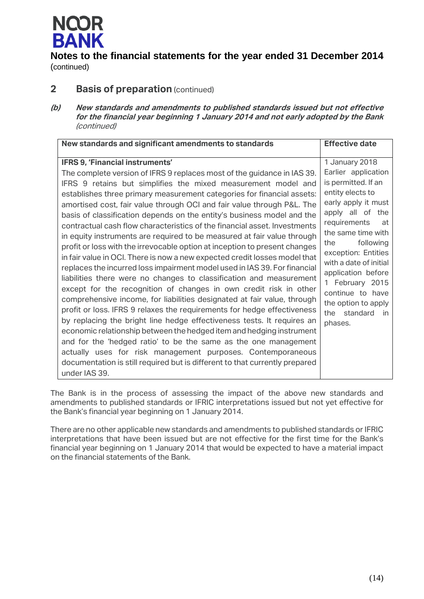

## **2 Basis of preparation** (continued)

**(b) New standards and amendments to published standards issued but not effective for the financial year beginning 1 January 2014 and not early adopted by the Bank**  (continued)

| New standards and significant amendments to standards                       | <b>Effective date</b>  |
|-----------------------------------------------------------------------------|------------------------|
| IFRS 9, 'Financial instruments'                                             | 1 January 2018         |
| The complete version of IFRS 9 replaces most of the guidance in IAS 39.     | Earlier application    |
| IFRS 9 retains but simplifies the mixed measurement model and               | is permitted. If an    |
| establishes three primary measurement categories for financial assets:      | entity elects to       |
| amortised cost, fair value through OCI and fair value through P&L. The      | early apply it must    |
| basis of classification depends on the entity's business model and the      | apply all of the       |
| contractual cash flow characteristics of the financial asset. Investments   | requirements           |
| in equity instruments are required to be measured at fair value through     | at                     |
| profit or loss with the irrevocable option at inception to present changes  | the same time with     |
| in fair value in OCI. There is now a new expected credit losses model that  | following              |
| replaces the incurred loss impairment model used in IAS 39. For financial   | the                    |
| liabilities there were no changes to classification and measurement         | exception: Entities    |
| except for the recognition of changes in own credit risk in other           | with a date of initial |
| comprehensive income, for liabilities designated at fair value, through     | application before     |
| profit or loss. IFRS 9 relaxes the requirements for hedge effectiveness     | 1 February 2015        |
| by replacing the bright line hedge effectiveness tests. It requires an      | continue to have       |
| economic relationship between the hedged item and hedging instrument        | the option to apply    |
| and for the 'hedged ratio' to be the same as the one management             | standard               |
| actually uses for risk management purposes. Contemporaneous                 | the                    |
| documentation is still required but is different to that currently prepared | in.                    |
| under IAS 39.                                                               | phases.                |

The Bank is in the process of assessing the impact of the above new standards and amendments to published standards or IFRIC interpretations issued but not yet effective for the Bank's financial year beginning on 1 January 2014.

There are no other applicable new standards and amendments to published standards or IFRIC interpretations that have been issued but are not effective for the first time for the Bank's financial year beginning on 1 January 2014 that would be expected to have a material impact on the financial statements of the Bank.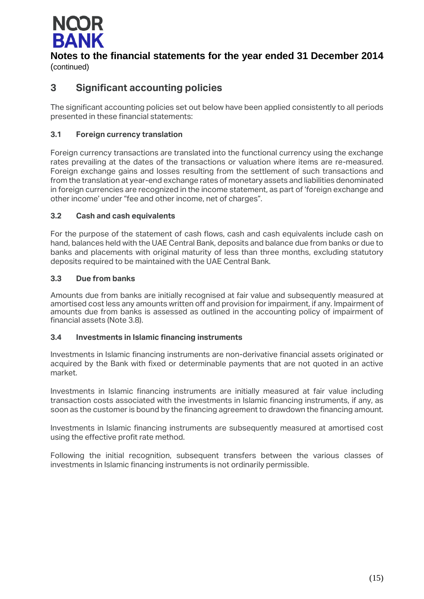

# **Notes to the financial statements for the year ended 31 December 2014**

(continued)

## **3 Significant accounting policies**

The significant accounting policies set out below have been applied consistently to all periods presented in these financial statements:

### **3.1 Foreign currency translation**

Foreign currency transactions are translated into the functional currency using the exchange rates prevailing at the dates of the transactions or valuation where items are re-measured. Foreign exchange gains and losses resulting from the settlement of such transactions and from the translation at year-end exchange rates of monetary assets and liabilities denominated in foreign currencies are recognized in the income statement, as part of 'foreign exchange and other income' under "fee and other income, net of charges".

### **3.2 Cash and cash equivalents**

For the purpose of the statement of cash flows, cash and cash equivalents include cash on hand, balances held with the UAE Central Bank, deposits and balance due from banks or due to banks and placements with original maturity of less than three months, excluding statutory deposits required to be maintained with the UAE Central Bank.

### **3.3 Due from banks**

Amounts due from banks are initially recognised at fair value and subsequently measured at amortised cost less any amounts written off and provision for impairment, if any. Impairment of amounts due from banks is assessed as outlined in the accounting policy of impairment of financial assets (Note 3.8).

### **3.4 Investments in Islamic financing instruments**

Investments in Islamic financing instruments are non-derivative financial assets originated or acquired by the Bank with fixed or determinable payments that are not quoted in an active market.

Investments in Islamic financing instruments are initially measured at fair value including transaction costs associated with the investments in Islamic financing instruments, if any, as soon as the customer is bound by the financing agreement to drawdown the financing amount.

Investments in Islamic financing instruments are subsequently measured at amortised cost using the effective profit rate method.

Following the initial recognition, subsequent transfers between the various classes of investments in Islamic financing instruments is not ordinarily permissible.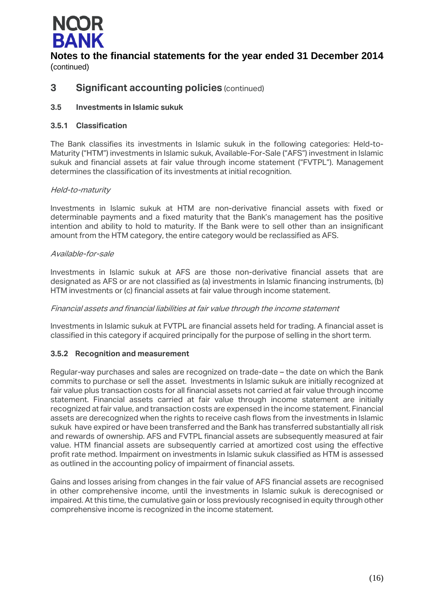

## **3 Significant accounting policies** (continued)

### **3.5 Investments in Islamic sukuk**

### **3.5.1 Classification**

The Bank classifies its investments in Islamic sukuk in the following categories: Held-to-Maturity ("HTM") investments in Islamic sukuk, Available-For-Sale ("AFS") investment in Islamic sukuk and financial assets at fair value through income statement ("FVTPL"). Management determines the classification of its investments at initial recognition.

### Held-to-maturity

Investments in Islamic sukuk at HTM are non-derivative financial assets with fixed or determinable payments and a fixed maturity that the Bank's management has the positive intention and ability to hold to maturity. If the Bank were to sell other than an insignificant amount from the HTM category, the entire category would be reclassified as AFS.

### Available-for-sale

Investments in Islamic sukuk at AFS are those non-derivative financial assets that are designated as AFS or are not classified as (a) investments in Islamic financing instruments, (b) HTM investments or (c) financial assets at fair value through income statement.

### Financial assets and financial liabilities at fair value through the income statement

Investments in Islamic sukuk at FVTPL are financial assets held for trading. A financial asset is classified in this category if acquired principally for the purpose of selling in the short term.

### **3.5.2 Recognition and measurement**

Regular-way purchases and sales are recognized on trade-date – the date on which the Bank commits to purchase or sell the asset. Investments in Islamic sukuk are initially recognized at fair value plus transaction costs for all financial assets not carried at fair value through income statement. Financial assets carried at fair value through income statement are initially recognized at fair value, and transaction costs are expensed in the income statement. Financial assets are derecognized when the rights to receive cash flows from the investments in Islamic sukuk have expired or have been transferred and the Bank has transferred substantially all risk and rewards of ownership. AFS and FVTPL financial assets are subsequently measured at fair value. HTM financial assets are subsequently carried at amortized cost using the effective profit rate method. Impairment on investments in Islamic sukuk classified as HTM is assessed as outlined in the accounting policy of impairment of financial assets.

Gains and losses arising from changes in the fair value of AFS financial assets are recognised in other comprehensive income, until the investments in Islamic sukuk is derecognised or impaired. At this time, the cumulative gain or loss previously recognised in equity through other comprehensive income is recognized in the income statement.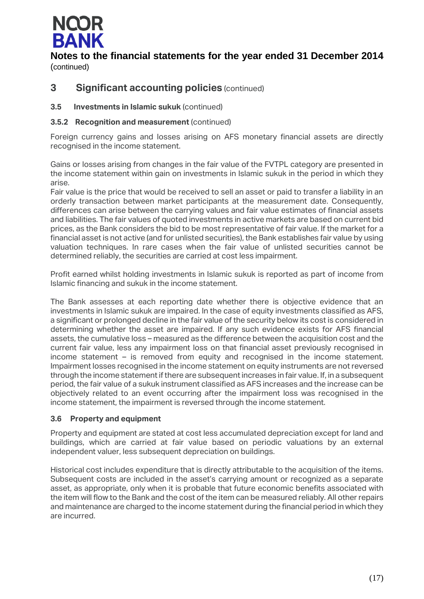

## **3 Significant accounting policies** (continued)

### **3.5 Investments in Islamic sukuk** (continued)

### **3.5.2 Recognition and measurement** (continued)

Foreign currency gains and losses arising on AFS monetary financial assets are directly recognised in the income statement.

Gains or losses arising from changes in the fair value of the FVTPL category are presented in the income statement within gain on investments in Islamic sukuk in the period in which they arise.

Fair value is the price that would be received to sell an asset or paid to transfer a liability in an orderly transaction between market participants at the measurement date. Consequently, differences can arise between the carrying values and fair value estimates of financial assets and liabilities. The fair values of quoted investments in active markets are based on current bid prices, as the Bank considers the bid to be most representative of fair value. If the market for a financial asset is not active (and for unlisted securities), the Bank establishes fair value by using valuation techniques. In rare cases when the fair value of unlisted securities cannot be determined reliably, the securities are carried at cost less impairment.

Profit earned whilst holding investments in Islamic sukuk is reported as part of income from Islamic financing and sukuk in the income statement.

The Bank assesses at each reporting date whether there is objective evidence that an investments in Islamic sukuk are impaired. In the case of equity investments classified as AFS, a significant or prolonged decline in the fair value of the security below its cost is considered in determining whether the asset are impaired. If any such evidence exists for AFS financial assets, the cumulative loss – measured as the difference between the acquisition cost and the current fair value, less any impairment loss on that financial asset previously recognised in income statement – is removed from equity and recognised in the income statement. Impairment losses recognised in the income statement on equity instruments are not reversed through the income statement if there are subsequent increases in fair value. If, in a subsequent period, the fair value of a sukuk instrument classified as AFS increases and the increase can be objectively related to an event occurring after the impairment loss was recognised in the income statement, the impairment is reversed through the income statement.

### **3.6 Property and equipment**

Property and equipment are stated at cost less accumulated depreciation except for land and buildings, which are carried at fair value based on periodic valuations by an external independent valuer, less subsequent depreciation on buildings.

Historical cost includes expenditure that is directly attributable to the acquisition of the items. Subsequent costs are included in the asset's carrying amount or recognized as a separate asset, as appropriate, only when it is probable that future economic benefits associated with the item will flow to the Bank and the cost of the item can be measured reliably. All other repairs and maintenance are charged to the income statement during the financial period in which they are incurred.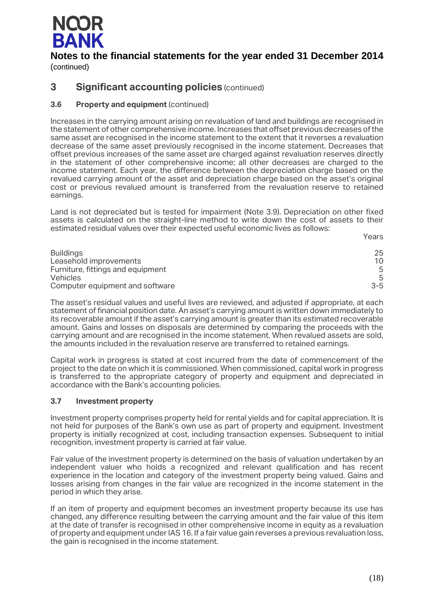

**3 Significant accounting policies** (continued)

## **3.6 Property and equipment** (continued)

Increases in the carrying amount arising on revaluation of land and buildings are recognised in the statement of other comprehensive income. Increases that offset previous decreases of the same asset are recognised in the income statement to the extent that it reverses a revaluation decrease of the same asset previously recognised in the income statement. Decreases that offset previous increases of the same asset are charged against revaluation reserves directly in the statement of other comprehensive income; all other decreases are charged to the income statement. Each year, the difference between the depreciation charge based on the revalued carrying amount of the asset and depreciation charge based on the asset's original cost or previous revalued amount is transferred from the revaluation reserve to retained earnings.

Land is not depreciated but is tested for impairment (Note 3.9). Depreciation on other fixed assets is calculated on the straight-line method to write down the cost of assets to their estimated residual values over their expected useful economic lives as follows:

Years

| <b>Buildings</b>                  | 25      |
|-----------------------------------|---------|
| Leasehold improvements            | 10      |
| Furniture, fittings and equipment | .5      |
| <b>Vehicles</b>                   | .5      |
| Computer equipment and software   | $3 - 5$ |

The asset's residual values and useful lives are reviewed, and adjusted if appropriate, at each statement of financial position date. An asset's carrying amount is written down immediately to its recoverable amount if the asset's carrying amount is greater than its estimated recoverable amount. Gains and losses on disposals are determined by comparing the proceeds with the carrying amount and are recognised in the income statement. When revalued assets are sold, the amounts included in the revaluation reserve are transferred to retained earnings.

Capital work in progress is stated at cost incurred from the date of commencement of the project to the date on which it is commissioned. When commissioned, capital work in progress is transferred to the appropriate category of property and equipment and depreciated in accordance with the Bank's accounting policies.

### **3.7 Investment property**

Investment property comprises property held for rental yields and for capital appreciation. It is not held for purposes of the Bank's own use as part of property and equipment. Investment property is initially recognized at cost, including transaction expenses. Subsequent to initial recognition, investment property is carried at fair value.

Fair value of the investment property is determined on the basis of valuation undertaken by an independent valuer who holds a recognized and relevant qualification and has recent experience in the location and category of the investment property being valued. Gains and losses arising from changes in the fair value are recognized in the income statement in the period in which they arise.

If an item of property and equipment becomes an investment property because its use has changed, any difference resulting between the carrying amount and the fair value of this item at the date of transfer is recognised in other comprehensive income in equity as a revaluation of property and equipment under IAS 16. If a fair value gain reverses a previous revaluation loss, the gain is recognised in the income statement.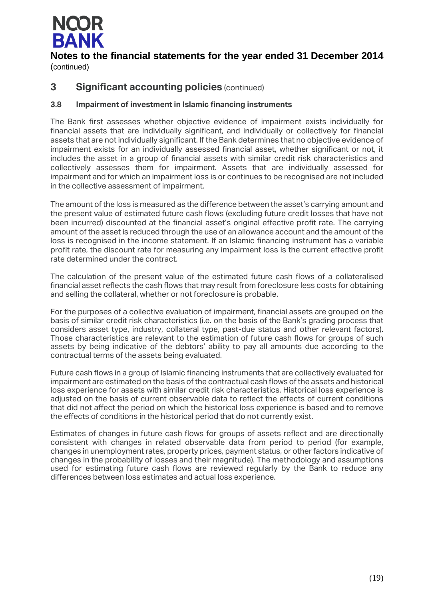

## **3 Significant accounting policies** (continued)

### **3.8 Impairment of investment in Islamic financing instruments**

The Bank first assesses whether objective evidence of impairment exists individually for financial assets that are individually significant, and individually or collectively for financial assets that are not individually significant. If the Bank determines that no objective evidence of impairment exists for an individually assessed financial asset, whether significant or not, it includes the asset in a group of financial assets with similar credit risk characteristics and collectively assesses them for impairment. Assets that are individually assessed for impairment and for which an impairment loss is or continues to be recognised are not included in the collective assessment of impairment.

The amount of the loss is measured as the difference between the asset's carrying amount and the present value of estimated future cash flows (excluding future credit losses that have not been incurred) discounted at the financial asset's original effective profit rate. The carrying amount of the asset is reduced through the use of an allowance account and the amount of the loss is recognised in the income statement. If an Islamic financing instrument has a variable profit rate, the discount rate for measuring any impairment loss is the current effective profit rate determined under the contract.

The calculation of the present value of the estimated future cash flows of a collateralised financial asset reflects the cash flows that may result from foreclosure less costs for obtaining and selling the collateral, whether or not foreclosure is probable.

For the purposes of a collective evaluation of impairment, financial assets are grouped on the basis of similar credit risk characteristics (i.e. on the basis of the Bank's grading process that considers asset type, industry, collateral type, past-due status and other relevant factors). Those characteristics are relevant to the estimation of future cash flows for groups of such assets by being indicative of the debtors' ability to pay all amounts due according to the contractual terms of the assets being evaluated.

Future cash flows in a group of Islamic financing instruments that are collectively evaluated for impairment are estimated on the basis of the contractual cash flows of the assets and historical loss experience for assets with similar credit risk characteristics. Historical loss experience is adjusted on the basis of current observable data to reflect the effects of current conditions that did not affect the period on which the historical loss experience is based and to remove the effects of conditions in the historical period that do not currently exist.

Estimates of changes in future cash flows for groups of assets reflect and are directionally consistent with changes in related observable data from period to period (for example, changes in unemployment rates, property prices, payment status, or other factors indicative of changes in the probability of losses and their magnitude). The methodology and assumptions used for estimating future cash flows are reviewed regularly by the Bank to reduce any differences between loss estimates and actual loss experience.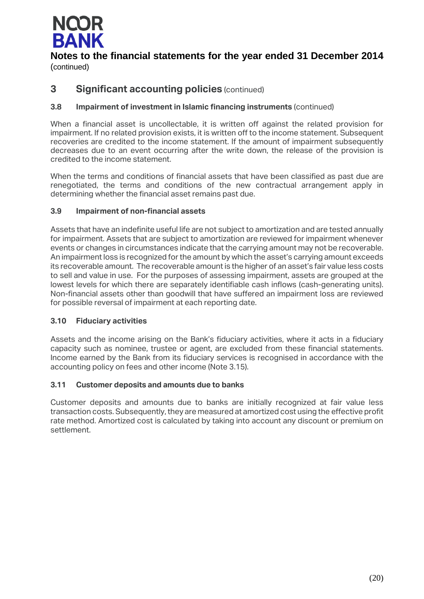

## **3 Significant accounting policies** (continued)

### **3.8 Impairment of investment in Islamic financing instruments** (continued)

When a financial asset is uncollectable, it is written off against the related provision for impairment. If no related provision exists, it is written off to the income statement. Subsequent recoveries are credited to the income statement. If the amount of impairment subsequently decreases due to an event occurring after the write down, the release of the provision is credited to the income statement.

When the terms and conditions of financial assets that have been classified as past due are renegotiated, the terms and conditions of the new contractual arrangement apply in determining whether the financial asset remains past due.

### **3.9 Impairment of non-financial assets**

Assets that have an indefinite useful life are not subject to amortization and are tested annually for impairment. Assets that are subject to amortization are reviewed for impairment whenever events or changes in circumstances indicate that the carrying amount may not be recoverable. An impairment loss is recognized for the amount by which the asset's carrying amount exceeds its recoverable amount. The recoverable amount is the higher of an asset's fair value less costs to sell and value in use. For the purposes of assessing impairment, assets are grouped at the lowest levels for which there are separately identifiable cash inflows (cash-generating units). Non-financial assets other than goodwill that have suffered an impairment loss are reviewed for possible reversal of impairment at each reporting date.

### **3.10 Fiduciary activities**

Assets and the income arising on the Bank's fiduciary activities, where it acts in a fiduciary capacity such as nominee, trustee or agent, are excluded from these financial statements. Income earned by the Bank from its fiduciary services is recognised in accordance with the accounting policy on fees and other income (Note 3.15).

### **3.11 Customer deposits and amounts due to banks**

Customer deposits and amounts due to banks are initially recognized at fair value less transaction costs. Subsequently, they are measured at amortized cost using the effective profit rate method. Amortized cost is calculated by taking into account any discount or premium on settlement.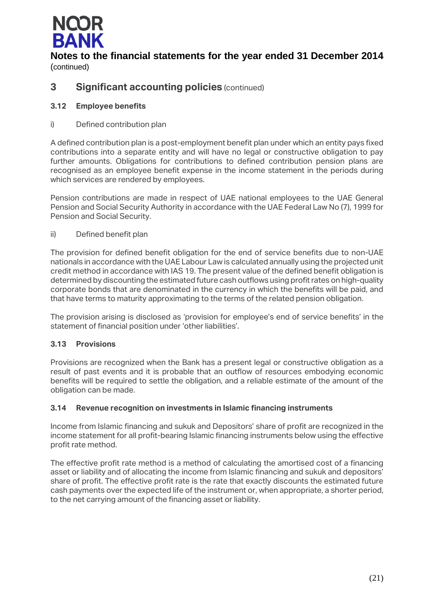

## **3 Significant accounting policies** (continued)

### **3.12 Employee benefits**

### i) Defined contribution plan

A defined contribution plan is a post-employment benefit plan under which an entity pays fixed contributions into a separate entity and will have no legal or constructive obligation to pay further amounts. Obligations for contributions to defined contribution pension plans are recognised as an employee benefit expense in the income statement in the periods during which services are rendered by employees.

Pension contributions are made in respect of UAE national employees to the UAE General Pension and Social Security Authority in accordance with the UAE Federal Law No (7), 1999 for Pension and Social Security.

### ii) Defined benefit plan

The provision for defined benefit obligation for the end of service benefits due to non-UAE nationals in accordance with the UAE Labour Law is calculated annually using the projected unit credit method in accordance with IAS 19. The present value of the defined benefit obligation is determined by discounting the estimated future cash outflows using profit rates on high-quality corporate bonds that are denominated in the currency in which the benefits will be paid, and that have terms to maturity approximating to the terms of the related pension obligation.

The provision arising is disclosed as 'provision for employee's end of service benefits' in the statement of financial position under 'other liabilities'.

### **3.13 Provisions**

Provisions are recognized when the Bank has a present legal or constructive obligation as a result of past events and it is probable that an outflow of resources embodying economic benefits will be required to settle the obligation, and a reliable estimate of the amount of the obligation can be made.

### **3.14 Revenue recognition on investments in Islamic financing instruments**

Income from Islamic financing and sukuk and Depositors' share of profit are recognized in the income statement for all profit-bearing Islamic financing instruments below using the effective profit rate method.

The effective profit rate method is a method of calculating the amortised cost of a financing asset or liability and of allocating the income from Islamic financing and sukuk and depositors' share of profit. The effective profit rate is the rate that exactly discounts the estimated future cash payments over the expected life of the instrument or, when appropriate, a shorter period, to the net carrying amount of the financing asset or liability.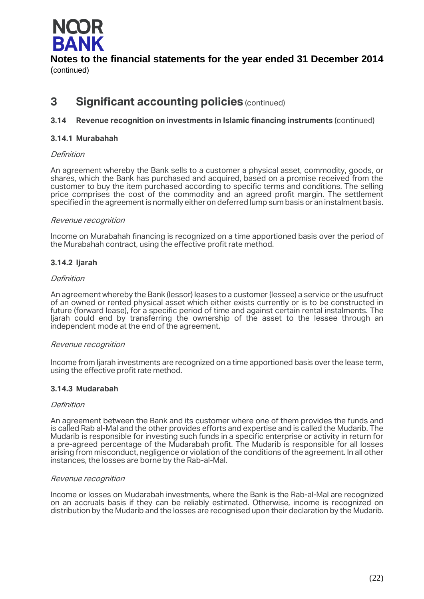

## **3 Significant accounting policies** (continued)

### **3.14 Revenue recognition on investments in Islamic financing instruments** (continued)

### **3.14.1 Murabahah**

### Definition

An agreement whereby the Bank sells to a customer a physical asset, commodity, goods, or shares, which the Bank has purchased and acquired, based on a promise received from the customer to buy the item purchased according to specific terms and conditions. The selling price comprises the cost of the commodity and an agreed profit margin. The settlement specified in the agreement is normally either on deferred lump sum basis or an instalment basis.

### Revenue recognition

Income on Murabahah financing is recognized on a time apportioned basis over the period of the Murabahah contract, using the effective profit rate method.

### **3.14.2 Ijarah**

### Definition

An agreement whereby the Bank (lessor) leases to a customer (lessee) a service or the usufruct of an owned or rented physical asset which either exists currently or is to be constructed in future (forward lease), for a specific period of time and against certain rental instalments. The Ijarah could end by transferring the ownership of the asset to the lessee through an independent mode at the end of the agreement.

### Revenue recognition

Income from Ijarah investments are recognized on a time apportioned basis over the lease term, using the effective profit rate method.

### **3.14.3 Mudarabah**

### **Definition**

An agreement between the Bank and its customer where one of them provides the funds and is called Rab al-Mal and the other provides efforts and expertise and is called the Mudarib. The Mudarib is responsible for investing such funds in a specific enterprise or activity in return for a pre-agreed percentage of the Mudarabah profit. The Mudarib is responsible for all losses arising from misconduct, negligence or violation of the conditions of the agreement. In all other instances, the losses are borne by the Rab-al-Mal.

### Revenue recognition

Income or losses on Mudarabah investments, where the Bank is the Rab-al-Mal are recognized on an accruals basis if they can be reliably estimated. Otherwise, income is recognized on distribution by the Mudarib and the losses are recognised upon their declaration by the Mudarib.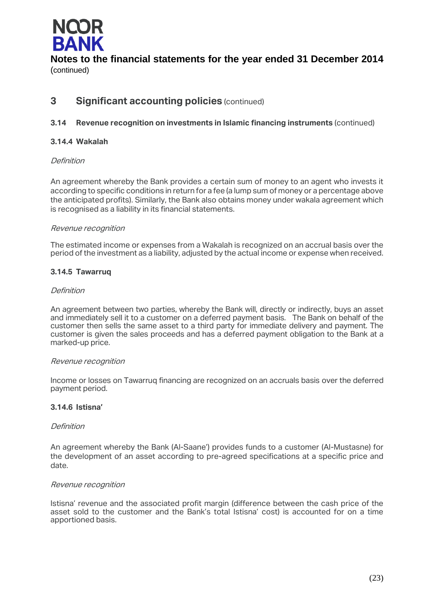

## **3 Significant accounting policies** (continued)

### **3.14 Revenue recognition on investments in Islamic financing instruments** (continued)

### **3.14.4 Wakalah**

### Definition

An agreement whereby the Bank provides a certain sum of money to an agent who invests it according to specific conditions in return for a fee (a lump sum of money or a percentage above the anticipated profits). Similarly, the Bank also obtains money under wakala agreement which is recognised as a liability in its financial statements.

### Revenue recognition

The estimated income or expenses from a Wakalah is recognized on an accrual basis over the period of the investment as a liability, adjusted by the actual income or expense when received.

### **3.14.5 Tawarruq**

### Definition

An agreement between two parties, whereby the Bank will, directly or indirectly, buys an asset and immediately sell it to a customer on a deferred payment basis. The Bank on behalf of the customer then sells the same asset to a third party for immediate delivery and payment. The customer is given the sales proceeds and has a deferred payment obligation to the Bank at a marked-up price.

### Revenue recognition

Income or losses on Tawarruq financing are recognized on an accruals basis over the deferred payment period.

### **3.14.6 Istisna'**

### Definition

An agreement whereby the Bank (Al-Saane') provides funds to a customer (Al-Mustasne) for the development of an asset according to pre-agreed specifications at a specific price and date.

### Revenue recognition

Istisna' revenue and the associated profit margin (difference between the cash price of the asset sold to the customer and the Bank's total Istisna' cost) is accounted for on a time apportioned basis.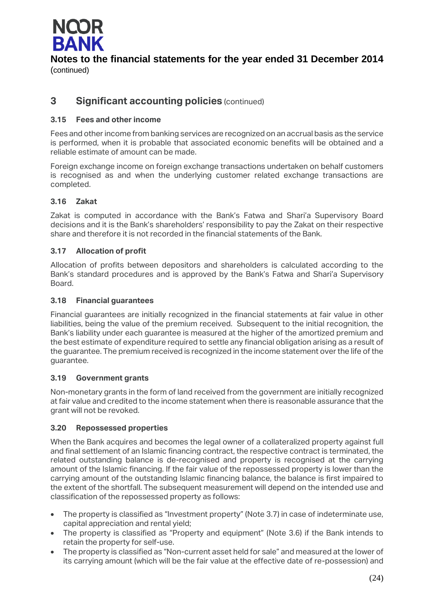

## **3 Significant accounting policies** (continued)

### **3.15 Fees and other income**

Fees and other income from banking services are recognized on an accrual basis as the service is performed, when it is probable that associated economic benefits will be obtained and a reliable estimate of amount can be made.

Foreign exchange income on foreign exchange transactions undertaken on behalf customers is recognised as and when the underlying customer related exchange transactions are completed.

### **3.16 Zakat**

Zakat is computed in accordance with the Bank's Fatwa and Shari'a Supervisory Board decisions and it is the Bank's shareholders' responsibility to pay the Zakat on their respective share and therefore it is not recorded in the financial statements of the Bank.

### **3.17 Allocation of profit**

Allocation of profits between depositors and shareholders is calculated according to the Bank's standard procedures and is approved by the Bank's Fatwa and Shari'a Supervisory Board.

### **3.18 Financial guarantees**

Financial guarantees are initially recognized in the financial statements at fair value in other liabilities, being the value of the premium received. Subsequent to the initial recognition, the Bank's liability under each guarantee is measured at the higher of the amortized premium and the best estimate of expenditure required to settle any financial obligation arising as a result of the guarantee. The premium received is recognized in the income statement over the life of the guarantee.

### **3.19 Government grants**

Non-monetary grants in the form of land received from the government are initially recognized at fair value and credited to the income statement when there is reasonable assurance that the grant will not be revoked.

### **3.20 Repossessed properties**

When the Bank acquires and becomes the legal owner of a collateralized property against full and final settlement of an Islamic financing contract, the respective contract is terminated, the related outstanding balance is de-recognised and property is recognised at the carrying amount of the Islamic financing. If the fair value of the repossessed property is lower than the carrying amount of the outstanding Islamic financing balance, the balance is first impaired to the extent of the shortfall. The subsequent measurement will depend on the intended use and classification of the repossessed property as follows:

- The property is classified as "Investment property" (Note 3.7) in case of indeterminate use, capital appreciation and rental yield;
- The property is classified as "Property and equipment" (Note 3.6) if the Bank intends to retain the property for self-use.
- The property is classified as "Non-current asset held for sale" and measured at the lower of its carrying amount (which will be the fair value at the effective date of re-possession) and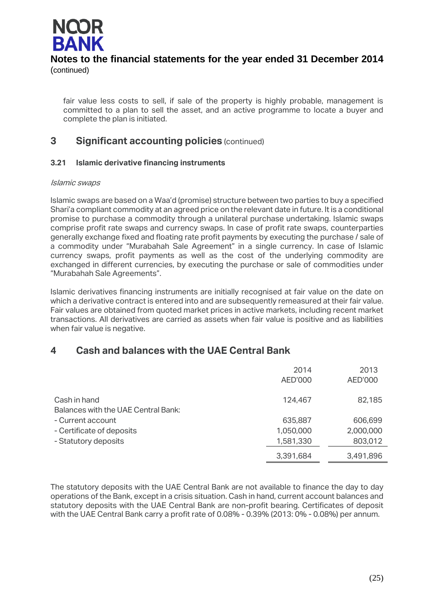

fair value less costs to sell, if sale of the property is highly probable, management is committed to a plan to sell the asset, and an active programme to locate a buyer and complete the plan is initiated.

## **3 Significant accounting policies** (continued)

### **3.21 Islamic derivative financing instruments**

### Islamic swaps

Islamic swaps are based on a Waa'd (promise) structure between two parties to buy a specified Shari'a compliant commodity at an agreed price on the relevant date in future. It is a conditional promise to purchase a commodity through a unilateral purchase undertaking. Islamic swaps comprise profit rate swaps and currency swaps. In case of profit rate swaps, counterparties generally exchange fixed and floating rate profit payments by executing the purchase / sale of a commodity under "Murabahah Sale Agreement" in a single currency. In case of Islamic currency swaps, profit payments as well as the cost of the underlying commodity are exchanged in different currencies, by executing the purchase or sale of commodities under "Murabahah Sale Agreements".

Islamic derivatives financing instruments are initially recognised at fair value on the date on which a derivative contract is entered into and are subsequently remeasured at their fair value. Fair values are obtained from quoted market prices in active markets, including recent market transactions. All derivatives are carried as assets when fair value is positive and as liabilities when fair value is negative.

## **4 Cash and balances with the UAE Central Bank**

|                                                            | 2014<br>AED'000 | 2013<br>AED'000 |
|------------------------------------------------------------|-----------------|-----------------|
| Cash in hand<br><b>Balances with the UAE Central Bank:</b> | 124,467         | 82,185          |
| - Current account                                          | 635,887         | 606,699         |
| - Certificate of deposits                                  | 1,050,000       | 2,000,000       |
| - Statutory deposits                                       | 1,581,330       | 803,012         |
|                                                            | 3,391,684       | 3,491,896       |

The statutory deposits with the UAE Central Bank are not available to finance the day to day operations of the Bank, except in a crisis situation. Cash in hand, current account balances and statutory deposits with the UAE Central Bank are non-profit bearing. Certificates of deposit with the UAE Central Bank carry a profit rate of 0.08% - 0.39% (2013: 0% - 0.08%) per annum.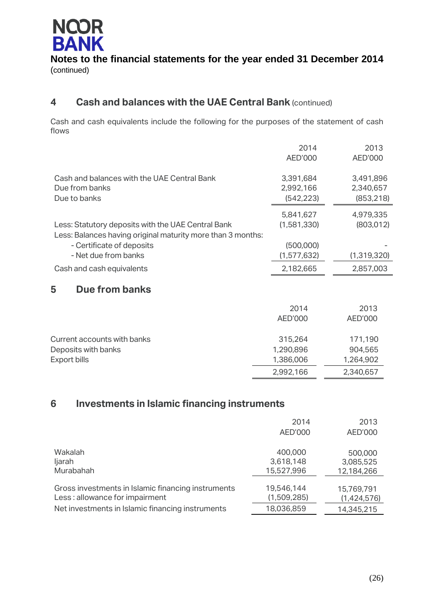

## **4 Cash and balances with the UAE Central Bank** (continued)

Cash and cash equivalents include the following for the purposes of the statement of cash flows

|                                                                                                                   | 2014<br>AED'000                      | 2013<br>AED'000                      |
|-------------------------------------------------------------------------------------------------------------------|--------------------------------------|--------------------------------------|
| Cash and balances with the UAE Central Bank<br>Due from banks<br>Due to banks                                     | 3,391,684<br>2,992,166<br>(542, 223) | 3,491,896<br>2,340,657<br>(853, 218) |
| Less: Statutory deposits with the UAE Central Bank<br>Less: Balances having original maturity more than 3 months: | 5,841,627<br>(1,581,330)             | 4,979,335<br>(803, 012)              |
| - Certificate of deposits                                                                                         | (500,000)                            |                                      |
| - Net due from banks                                                                                              | (1,577,632)                          | (1, 319, 320)                        |
| Cash and cash equivalents                                                                                         | 2,182,665                            | 2,857,003                            |
| <b>Due from banks</b><br>5                                                                                        |                                      |                                      |
|                                                                                                                   | 2014                                 | 2013                                 |
|                                                                                                                   | AED'000                              | AED'000                              |
| Current accounts with banks                                                                                       | 315,264                              | 171,190                              |
| Deposits with banks                                                                                               | 1,290,896                            | 904,565                              |
| Export bills                                                                                                      | 1,386,006                            | 1,264,902                            |
|                                                                                                                   | 2,992,166                            | 2,340,657                            |

## **6 Investments in Islamic financing instruments**

|                                                    | 2014<br>AED'000 | 2013<br>AED'000 |
|----------------------------------------------------|-----------------|-----------------|
| Wakalah                                            | 400,000         | 500,000         |
| ljarah                                             | 3,618,148       | 3,085,525       |
| Murabahah                                          | 15,527,996      | 12,184,266      |
| Gross investments in Islamic financing instruments | 19,546,144      | 15,769,791      |
| Less: allowance for impairment                     | (1,509,285)     | (1,424,576)     |
| Net investments in Islamic financing instruments   | 18,036,859      | 14,345,215      |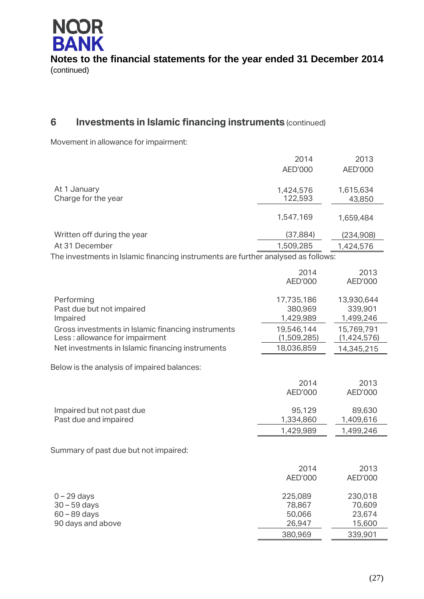

## **6 Investments in Islamic financing instruments** (continued)

Movement in allowance for impairment:

|                                                                                      | 2014<br>AED'000                    | 2013<br><b>AED'000</b>             |
|--------------------------------------------------------------------------------------|------------------------------------|------------------------------------|
| At 1 January<br>Charge for the year                                                  | 1,424,576<br>122,593               | 1,615,634<br>43,850                |
|                                                                                      | 1,547,169                          | 1,659,484                          |
| Written off during the year                                                          | (37, 884)                          | (234,908)                          |
| At 31 December                                                                       | 1,509,285                          | 1,424,576                          |
| The investments in Islamic financing instruments are further analysed as follows:    |                                    |                                    |
|                                                                                      | 2014<br><b>AED'000</b>             | 2013<br>AED'000                    |
| Performing<br>Past due but not impaired<br>Impaired                                  | 17,735,186<br>380,969<br>1,429,989 | 13,930,644<br>339,901<br>1,499,246 |
| Gross investments in Islamic financing instruments<br>Less: allowance for impairment | 19,546,144<br>(1,509,285)          | 15,769,791<br>(1,424,576)          |
| Net investments in Islamic financing instruments                                     | 18,036,859                         | 14,345,215                         |
| Below is the analysis of impaired balances:                                          |                                    |                                    |
|                                                                                      | 2014<br><b>AED'000</b>             | 2013<br><b>AED'000</b>             |
| Impaired but not past due<br>Past due and impaired                                   | 95,129<br>1,334,860                | 89,630<br>1,409,616                |
|                                                                                      | 1,429,989                          | 1,499,246                          |
| Summary of past due but not impaired:                                                |                                    |                                    |
|                                                                                      | 2014<br>AED'000                    | 2013<br><b>AED'000</b>             |
| $0 - 29$ days                                                                        | 225,089                            | 230,018                            |
| $30 - 59$ days                                                                       | 78,867                             | 70,609                             |
| $60 - 89$ days<br>90 days and above                                                  | 50,066<br>26,947                   | 23,674<br>15,600                   |
|                                                                                      | 380,969                            | 339,901                            |
|                                                                                      |                                    |                                    |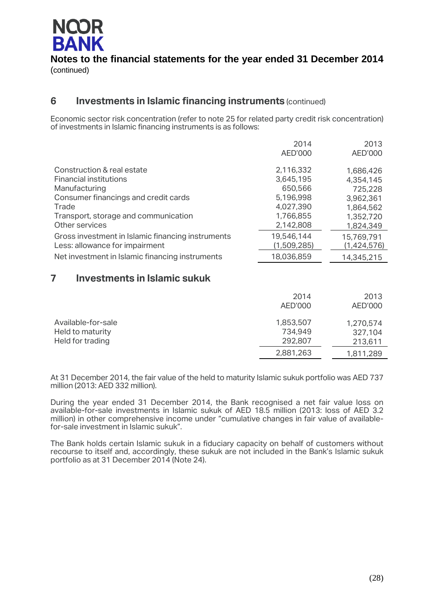

## **6 Investments in Islamic financing instruments** (continued)

Economic sector risk concentration (refer to note 25 for related party credit risk concentration) of investments in Islamic financing instruments is as follows:

|                                                   | 2014<br>AED'000 | 2013<br>AED'000 |
|---------------------------------------------------|-----------------|-----------------|
| Construction & real estate                        | 2,116,332       | 1,686,426       |
| <b>Financial institutions</b>                     | 3,645,195       | 4,354,145       |
| Manufacturing                                     | 650,566         | 725,228         |
| Consumer financings and credit cards              | 5,196,998       | 3,962,361       |
| Trade                                             | 4,027,390       | 1,864,562       |
| Transport, storage and communication              | 1,766,855       | 1,352,720       |
| Other services                                    | 2,142,808       | 1,824,349       |
| Gross investment in Islamic financing instruments | 19,546,144      | 15,769,791      |
| Less: allowance for impairment                    | (1,509,285)     | (1,424,576)     |
| Net investment in Islamic financing instruments   | 18,036,859      | 14,345,215      |

## **7 Investments in Islamic sukuk**

|                    | 2014      | 2013      |
|--------------------|-----------|-----------|
|                    | AED'000   | AED'000   |
| Available-for-sale | 1,853,507 | 1,270,574 |
| Held to maturity   | 734.949   | 327,104   |
| Held for trading   | 292,807   | 213,611   |
|                    | 2,881,263 | 1,811,289 |

At 31 December 2014, the fair value of the held to maturity Islamic sukuk portfolio was AED 737 million (2013: AED 332 million).

During the year ended 31 December 2014, the Bank recognised a net fair value loss on available-for-sale investments in Islamic sukuk of AED 18.5 million (2013: loss of AED 3.2 million) in other comprehensive income under "cumulative changes in fair value of availablefor-sale investment in Islamic sukuk".

The Bank holds certain Islamic sukuk in a fiduciary capacity on behalf of customers without recourse to itself and, accordingly, these sukuk are not included in the Bank's Islamic sukuk portfolio as at 31 December 2014 (Note 24).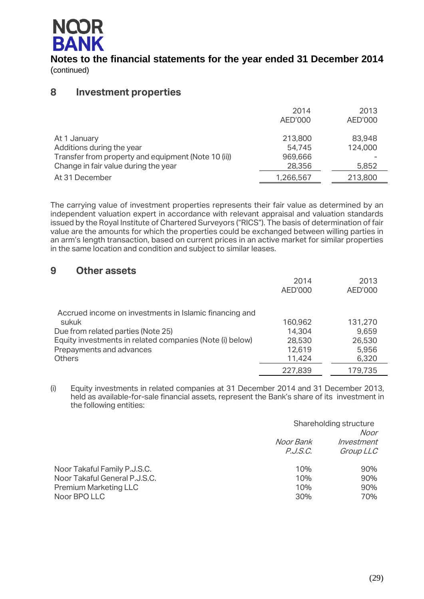

## **8 Investment properties**

|                                                     | 2014<br>AED'000 | 2013<br>AED'000 |
|-----------------------------------------------------|-----------------|-----------------|
| At 1 January                                        | 213,800         | 83,948          |
| Additions during the year                           | 54,745          | 124,000         |
| Transfer from property and equipment (Note 10 (ii)) | 969,666         |                 |
| Change in fair value during the year                | 28,356          | 5,852           |
| At 31 December                                      | 1,266,567       | 213,800         |

The carrying value of investment properties represents their fair value as determined by an independent valuation expert in accordance with relevant appraisal and valuation standards issued by the Royal Institute of Chartered Surveyors ("RICS"). The basis of determination of fair value are the amounts for which the properties could be exchanged between willing parties in an arm's length transaction, based on current prices in an active market for similar properties in the same location and condition and subject to similar leases.

## **9 Other assets**

|                                                          | 2014<br>AED'000 | 2013<br><b>AED'000</b> |
|----------------------------------------------------------|-----------------|------------------------|
| Accrued income on investments in Islamic financing and   |                 |                        |
| sukuk                                                    | 160,962         | 131,270                |
| Due from related parties (Note 25)                       | 14,304          | 9,659                  |
| Equity investments in related companies (Note (i) below) | 28,530          | 26,530                 |
| Prepayments and advances                                 | 12,619          | 5,956                  |
| <b>Others</b>                                            | 11,424          | 6,320                  |
|                                                          | 227,839         | 179,735                |

(i) Equity investments in related companies at 31 December 2014 and 31 December 2013, held as available-for-sale financial assets, represent the Bank's share of its investment in the following entities:

|                               | Shareholding structure<br>Noor |            |
|-------------------------------|--------------------------------|------------|
|                               | Noor Bank                      | Investment |
|                               | P. J. S. C.                    | Group LLC  |
| Noor Takaful Family P.J.S.C.  | 10%                            | 90%        |
| Noor Takaful General P.J.S.C. | 10%                            | 90%        |
| <b>Premium Marketing LLC</b>  | 10%                            | 90%        |
| Noor BPO LLC                  | 30%                            | 70%        |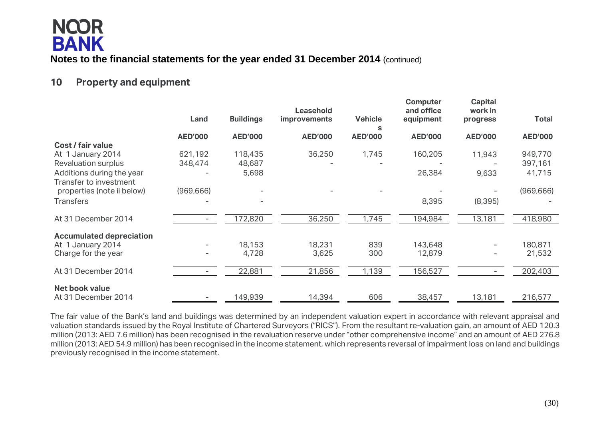## **10 Property and equipment**

|                                                     | Land           | <b>Buildings</b> | Leasehold<br><b>improvements</b> | <b>Vehicle</b>      | <b>Computer</b><br>and office<br>equipment | Capital<br>work in<br>progress | <b>Total</b>   |
|-----------------------------------------------------|----------------|------------------|----------------------------------|---------------------|--------------------------------------------|--------------------------------|----------------|
|                                                     | <b>AED'000</b> | <b>AED'000</b>   | <b>AED'000</b>                   | s<br><b>AED'000</b> | <b>AED'000</b>                             | <b>AED'000</b>                 | <b>AED'000</b> |
| Cost / fair value                                   |                |                  |                                  |                     |                                            |                                |                |
| At 1 January 2014                                   | 621,192        | 118,435          | 36,250                           | 1,745               | 160,205                                    | 11,943                         | 949,770        |
| Revaluation surplus                                 | 348,474        | 48,687           |                                  |                     |                                            |                                | 397,161        |
| Additions during the year<br>Transfer to investment |                | 5,698            |                                  |                     | 26,384                                     | 9,633                          | 41,715         |
| properties (note ii below)                          | (969, 666)     |                  |                                  |                     |                                            |                                | (969, 666)     |
| <b>Transfers</b>                                    |                |                  |                                  |                     | 8,395                                      | (8, 395)                       |                |
| At 31 December 2014                                 |                | 172,820          | 36,250                           | 1,745               | 194,984                                    | 13,181                         | 418,980        |
| <b>Accumulated depreciation</b>                     |                |                  |                                  |                     |                                            |                                |                |
| At 1 January 2014                                   |                | 18,153           | 18,231                           | 839                 | 143,648                                    | $\overline{\phantom{0}}$       | 180,871        |
| Charge for the year                                 |                | 4,728            | 3,625                            | 300                 | 12,879                                     |                                | 21,532         |
| At 31 December 2014                                 |                | 22,881           | 21,856                           | 1,139               | 156,527                                    |                                | 202,403        |
| <b>Net book value</b>                               |                |                  |                                  |                     |                                            |                                |                |
| At 31 December 2014                                 |                | 149,939          | 14,394                           | 606                 | 38,457                                     | 13,181                         | 216,577        |

The fair value of the Bank's land and buildings was determined by an independent valuation expert in accordance with relevant appraisal and valuation standards issued by the Royal Institute of Chartered Surveyors ("RICS"). From the resultant re-valuation gain, an amount of AED 120.3 million (2013: AED 7.6 million) has been recognised in the revaluation reserve under "other comprehensive income" and an amount of AED 276.8 million (2013: AED 54.9 million) has been recognised in the income statement, which represents reversal of impairment loss on land and buildings previously recognised in the income statement.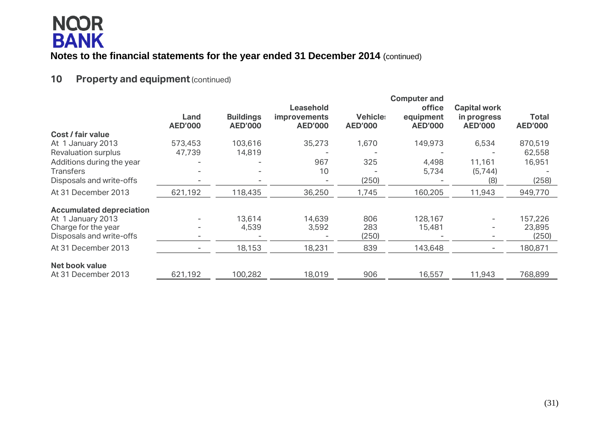## **10 Property and equipment (continued)**

|                                 |                        |                                    |                                                           |                                   | <b>Computer and</b>                   |                                                      |                                |
|---------------------------------|------------------------|------------------------------------|-----------------------------------------------------------|-----------------------------------|---------------------------------------|------------------------------------------------------|--------------------------------|
|                                 | Land<br><b>AED'000</b> | <b>Buildings</b><br><b>AED'000</b> | <b>Leasehold</b><br><i>improvements</i><br><b>AED'000</b> | <b>Vehicle:</b><br><b>AED'000</b> | office<br>equipment<br><b>AED'000</b> | <b>Capital work</b><br>in progress<br><b>AED'000</b> | <b>Total</b><br><b>AED'000</b> |
| Cost / fair value               |                        |                                    |                                                           |                                   |                                       |                                                      |                                |
| At 1 January 2013               | 573,453                | 103,616                            | 35,273                                                    | 1,670                             | 149,973                               | 6,534                                                | 870,519                        |
| <b>Revaluation surplus</b>      | 47,739                 | 14,819                             |                                                           |                                   |                                       |                                                      | 62,558                         |
| Additions during the year       |                        |                                    | 967                                                       | 325                               | 4,498                                 | 11,161                                               | 16,951                         |
| <b>Transfers</b>                |                        |                                    | 10                                                        |                                   | 5,734                                 | (5,744)                                              |                                |
| Disposals and write-offs        |                        |                                    |                                                           | (250)                             |                                       | (8)                                                  | (258)                          |
| At 31 December 2013             | 621,192                | 118,435                            | 36,250                                                    | 1,745                             | 160,205                               | 11,943                                               | 949,770                        |
| <b>Accumulated depreciation</b> |                        |                                    |                                                           |                                   |                                       |                                                      |                                |
| At 1 January 2013               |                        | 13,614                             | 14,639                                                    | 806                               | 128,167                               | $\overline{\phantom{a}}$                             | 157,226                        |
| Charge for the year             |                        | 4,539                              | 3,592                                                     | 283                               | 15,481                                | $\overline{\phantom{a}}$                             | 23,895                         |
| Disposals and write-offs        |                        |                                    |                                                           | (250)                             |                                       | $\overline{\phantom{0}}$                             | (250)                          |
| At 31 December 2013             | -                      | 18,153                             | 18,231                                                    | 839                               | 143,648                               | $\overline{\phantom{a}}$                             | 180,871                        |
| Net book value                  |                        |                                    |                                                           |                                   |                                       |                                                      |                                |
| At 31 December 2013             | 621,192                | 100,282                            | 18,019                                                    | 906                               | 16,557                                | 11,943                                               | 768,899                        |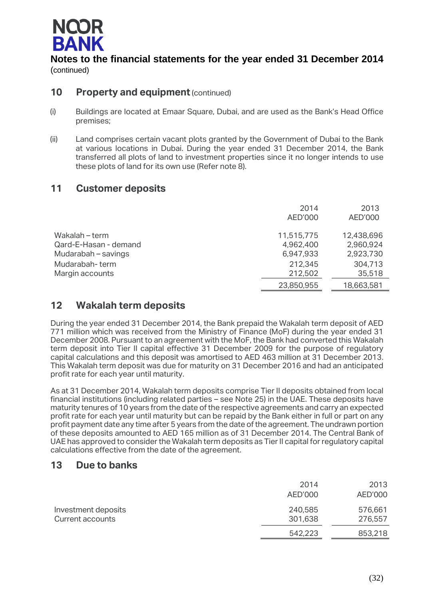

## **10 Property and equipment** (continued)

- (i) Buildings are located at Emaar Square, Dubai, and are used as the Bank's Head Office premises;
- (ii) Land comprises certain vacant plots granted by the Government of Dubai to the Bank at various locations in Dubai. During the year ended 31 December 2014, the Bank transferred all plots of land to investment properties since it no longer intends to use these plots of land for its own use (Refer note 8).

## **11 Customer deposits**

|                       | 2014<br>AED'000 | 2013<br>AED'000 |
|-----------------------|-----------------|-----------------|
| Wakalah – term        | 11,515,775      | 12,438,696      |
| Qard-E-Hasan - demand | 4,962,400       | 2,960,924       |
| Mudarabah – savings   | 6,947,933       | 2,923,730       |
| Mudarabah-term        | 212,345         | 304,713         |
| Margin accounts       | 212,502         | 35,518          |
|                       | 23,850,955      | 18,663,581      |
|                       |                 |                 |

## **12 Wakalah term deposits**

During the year ended 31 December 2014, the Bank prepaid the Wakalah term deposit of AED 771 million which was received from the Ministry of Finance (MoF) during the year ended 31 December 2008. Pursuant to an agreement with the MoF, the Bank had converted this Wakalah term deposit into Tier II capital effective 31 December 2009 for the purpose of regulatory capital calculations and this deposit was amortised to AED 463 million at 31 December 2013. This Wakalah term deposit was due for maturity on 31 December 2016 and had an anticipated profit rate for each year until maturity.

As at 31 December 2014, Wakalah term deposits comprise Tier II deposits obtained from local financial institutions (including related parties – see Note 25) in the UAE. These deposits have maturity tenures of 10 years from the date of the respective agreements and carry an expected profit rate for each year until maturity but can be repaid by the Bank either in full or part on any profit payment date any time after 5 years from the date of the agreement. The undrawn portion of these deposits amounted to AED 165 million as of 31 December 2014. The Central Bank of UAE has approved to consider the Wakalah term deposits as Tier II capital for regulatory capital calculations effective from the date of the agreement.

## **13 Due to banks**

|                                         | 2014<br>AED'000    | 2013<br>AED'000    |
|-----------------------------------------|--------------------|--------------------|
| Investment deposits<br>Current accounts | 240,585<br>301,638 | 576,661<br>276,557 |
|                                         | 542,223            | 853,218            |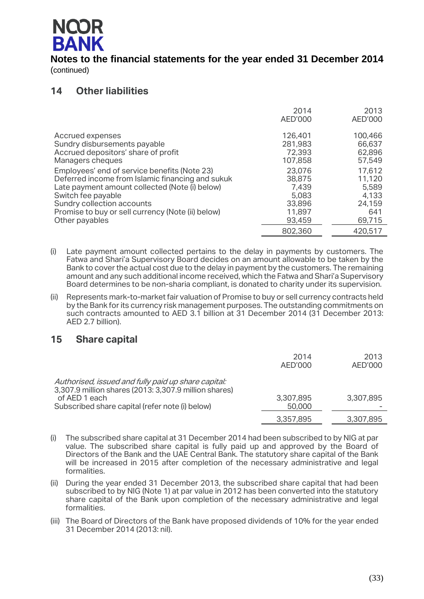

## **14 Other liabilities**

|                                                   | 2014<br>AED'000 | 2013<br>AED'000 |
|---------------------------------------------------|-----------------|-----------------|
| Accrued expenses                                  | 126,401         | 100,466         |
| Sundry disbursements payable                      | 281,983         | 66,637          |
| Accrued depositors' share of profit               | 72,393          | 62,896          |
| Managers cheques                                  | 107,858         | 57,549          |
| Employees' end of service benefits (Note 23)      | 23,076          | 17,612          |
| Deferred income from Islamic financing and sukuk  | 38,875          | 11,120          |
| Late payment amount collected (Note (i) below)    | 7,439           | 5,589           |
| Switch fee payable                                | 5,083           | 4,133           |
| Sundry collection accounts                        | 33,896          | 24,159          |
| Promise to buy or sell currency (Note (ii) below) | 11,897          | 641             |
| Other payables                                    | 93,459          | 69,715          |
|                                                   | 802,360         | 420,517         |

(i) Late payment amount collected pertains to the delay in payments by customers. The Fatwa and Shari'a Supervisory Board decides on an amount allowable to be taken by the Bank to cover the actual cost due to the delay in payment by the customers. The remaining amount and any such additional income received, which the Fatwa and Shari'a Supervisory Board determines to be non-sharia compliant, is donated to charity under its supervision.

(ii) Represents mark-to-market fair valuation of Promise to buy or sell currency contracts held by the Bank for its currency risk management purposes. The outstanding commitments on such contracts amounted to AED 3.1 billion at 31 December 2014 (31 December 2013: AED 2.7 billion).

## **15 Share capital**

|                                                                                                                               | 2014<br>AED'000 | 2013<br>AED'000 |
|-------------------------------------------------------------------------------------------------------------------------------|-----------------|-----------------|
| Authorised, issued and fully paid up share capital:<br>3,307.9 million shares (2013: 3,307.9 million shares)<br>of AED 1 each | 3,307,895       | 3,307,895       |
| Subscribed share capital (refer note (i) below)                                                                               | 50,000          |                 |
|                                                                                                                               | 3,357,895       | 3,307,895       |

- (i) The subscribed share capital at 31 December 2014 had been subscribed to by NIG at par value. The subscribed share capital is fully paid up and approved by the Board of Directors of the Bank and the UAE Central Bank. The statutory share capital of the Bank will be increased in 2015 after completion of the necessary administrative and legal formalities.
- (ii) During the year ended 31 December 2013, the subscribed share capital that had been subscribed to by NIG (Note 1) at par value in 2012 has been converted into the statutory share capital of the Bank upon completion of the necessary administrative and legal formalities.
- (iii) The Board of Directors of the Bank have proposed dividends of 10% for the year ended 31 December 2014 (2013: nil).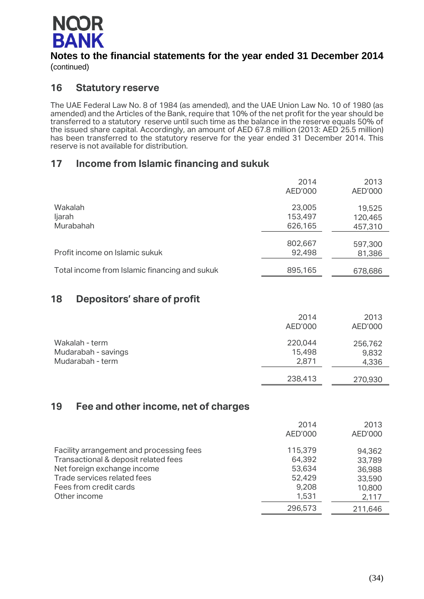

## **16 Statutory reserve**

The UAE Federal Law No. 8 of 1984 (as amended), and the UAE Union Law No. 10 of 1980 (as amended) and the Articles of the Bank, require that 10% of the net profit for the year should be transferred to a statutory reserve until such time as the balance in the reserve equals 50% of the issued share capital. Accordingly, an amount of AED 67.8 million (2013: AED 25.5 million) has been transferred to the statutory reserve for the year ended 31 December 2014. This reserve is not available for distribution.

## **17 Income from Islamic financing and sukuk**

|                                               | 2014<br>AED'000              | 2013<br>AED'000              |
|-----------------------------------------------|------------------------------|------------------------------|
| Wakalah<br>ljarah<br>Murabahah                | 23,005<br>153,497<br>626,165 | 19,525<br>120,465<br>457,310 |
| Profit income on Islamic sukuk                | 802,667<br>92,498            | 597,300<br>81,386            |
| Total income from Islamic financing and sukuk | 895,165                      | 678,686                      |

## **18 Depositors' share of profit**

|                                                           | 2014<br>AED'000            | 2013<br>AED'000           |
|-----------------------------------------------------------|----------------------------|---------------------------|
| Wakalah - term<br>Mudarabah - savings<br>Mudarabah - term | 220,044<br>15,498<br>2,871 | 256,762<br>9,832<br>4,336 |
|                                                           | 238,413                    | 270,930                   |

## **19 Fee and other income, net of charges**

|                                          | 2014    | 2013    |
|------------------------------------------|---------|---------|
|                                          | AED'000 | AED'000 |
| Facility arrangement and processing fees | 115,379 | 94,362  |
| Transactional & deposit related fees     | 64,392  | 33,789  |
| Net foreign exchange income              | 53,634  | 36,988  |
| Trade services related fees              | 52,429  | 33,590  |
| Fees from credit cards                   | 9,208   | 10,800  |
| Other income                             | 1,531   | 2,117   |
|                                          | 296,573 | 211,646 |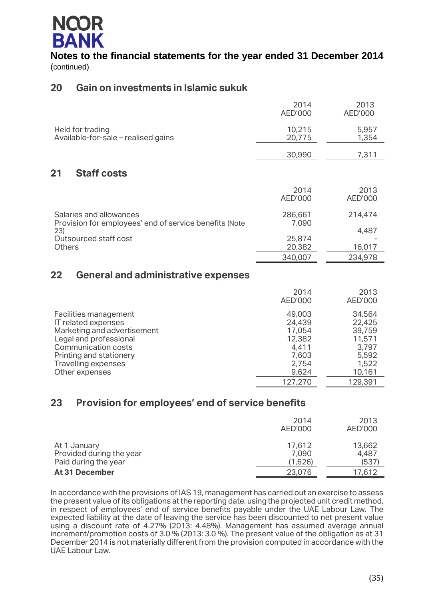

## **20 Gain on investments in Islamic sukuk**

|                                                                                   | 2014<br>AED'000  | 2013<br>AED'000 |
|-----------------------------------------------------------------------------------|------------------|-----------------|
| Held for trading<br>Available-for-sale – realised gains                           | 10,215<br>20,775 | 5,957<br>1,354  |
|                                                                                   | 30,990           | 7,311           |
| 21<br><b>Staff costs</b>                                                          |                  |                 |
|                                                                                   | 2014<br>AED'000  | 2013<br>AED'000 |
| Salaries and allowances<br>Provision for employees' end of service benefits (Note | 286,661<br>7,090 | 214,474         |
| 23)<br>Outsourced staff cost                                                      | 25,874           | 4,487           |
| <b>Others</b>                                                                     | 20,382           | 16,017          |
|                                                                                   | 340,007          | 234,978         |
|                                                                                   |                  |                 |

## **22 General and administrative expenses**

|                                                                                                                                                                                                  | 2014<br>AED'000                                                                     | 2013<br>AED'000                                                                      |
|--------------------------------------------------------------------------------------------------------------------------------------------------------------------------------------------------|-------------------------------------------------------------------------------------|--------------------------------------------------------------------------------------|
| Facilities management<br>IT related expenses<br>Marketing and advertisement<br>Legal and professional<br>Communication costs<br>Printing and stationery<br>Travelling expenses<br>Other expenses | 49,003<br>24,439<br>17,054<br>12,382<br>4,411<br>7,603<br>2,754<br>9,624<br>127,270 | 34,564<br>22,425<br>39,759<br>11,571<br>3,797<br>5,592<br>1,522<br>10,161<br>129,391 |

## **23 Provision for employees' end of service benefits**

|                                                                  | 2014<br>AED'000            | 2013<br>AED'000          |
|------------------------------------------------------------------|----------------------------|--------------------------|
| At 1 January<br>Provided during the year<br>Paid during the year | 17,612<br>7,090<br>(1,626) | 13,662<br>4,487<br>(537) |
| At 31 December                                                   | 23,076                     | 17,612                   |

In accordance with the provisions of IAS 19, management has carried out an exercise to assess the present value of its obligations at the reporting date, using the projected unit credit method, in respect of employees' end of service benefits payable under the UAE Labour Law. The expected liability at the date of leaving the service has been discounted to net present value using a discount rate of 4.27% (2013: 4.48%). Management has assumed average annual increment/promotion costs of 3.0 % (2013: 3.0 %). The present value of the obligation as at 31 December 2014 is not materially different from the provision computed in accordance with the UAE Labour Law.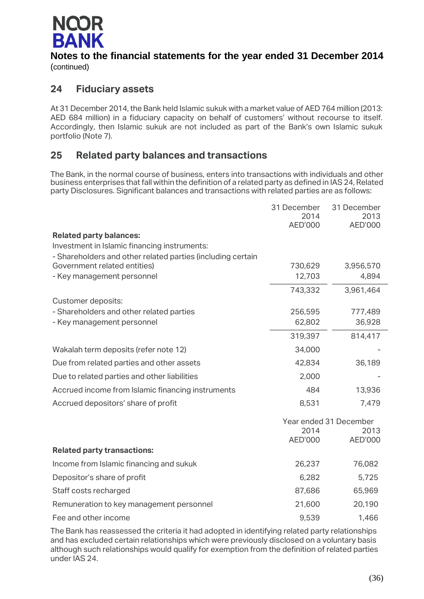

## **24 Fiduciary assets**

At 31 December 2014, the Bank held Islamic sukuk with a market value of AED 764 million (2013: AED 684 million) in a fiduciary capacity on behalf of customers' without recourse to itself. Accordingly, then Islamic sukuk are not included as part of the Bank's own Islamic sukuk portfolio (Note 7).

## **25 Related party balances and transactions**

The Bank, in the normal course of business, enters into transactions with individuals and other business enterprises that fall within the definition of a related party as defined in IAS 24, Related party Disclosures. Significant balances and transactions with related parties are as follows:

|                                                                | 31 December<br>2014 | 31 December<br>2013            |
|----------------------------------------------------------------|---------------------|--------------------------------|
|                                                                | AED'000             | AED'000                        |
| <b>Related party balances:</b>                                 |                     |                                |
| Investment in Islamic financing instruments:                   |                     |                                |
| - Shareholders and other related parties (including certain    |                     |                                |
| Government related entities)<br>- Key management personnel     | 730,629<br>12,703   | 3,956,570<br>4,894             |
|                                                                |                     |                                |
|                                                                | 743,332             | 3,961,464                      |
| Customer deposits:<br>- Shareholders and other related parties | 256,595             | 777,489                        |
| - Key management personnel                                     | 62,802              | 36,928                         |
|                                                                | 319,397             | 814,417                        |
| Wakalah term deposits (refer note 12)                          | 34,000              |                                |
|                                                                |                     |                                |
| Due from related parties and other assets                      | 42,834              | 36,189                         |
| Due to related parties and other liabilities                   | 2,000               |                                |
| Accrued income from Islamic financing instruments              | 484                 | 13,936                         |
| Accrued depositors' share of profit                            | 8,531               | 7,479                          |
|                                                                | 2014                | Year ended 31 December<br>2013 |
|                                                                | <b>AED'000</b>      | AED'000                        |
| <b>Related party transactions:</b>                             |                     |                                |
| Income from Islamic financing and sukuk                        | 26,237              | 76,082                         |
| Depositor's share of profit                                    | 6,282               | 5,725                          |
| Staff costs recharged                                          | 87,686              | 65,969                         |
| Remuneration to key management personnel                       | 21,600              | 20,190                         |
| Fee and other income                                           | 9,539               | 1,466                          |

The Bank has reassessed the criteria it had adopted in identifying related party relationships and has excluded certain relationships which were previously disclosed on a voluntary basis although such relationships would qualify for exemption from the definition of related parties under IAS 24.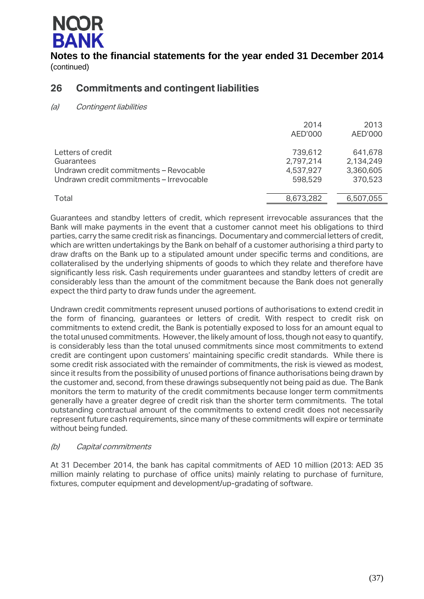

## **26 Commitments and contingent liabilities**

(a) Contingent liabilities

|                                                                                                                       | 2014<br>AED'000                              | 2013<br>AED'000                              |
|-----------------------------------------------------------------------------------------------------------------------|----------------------------------------------|----------------------------------------------|
| Letters of credit<br>Guarantees<br>Undrawn credit commitments - Revocable<br>Undrawn credit commitments – Irrevocable | 739,612<br>2,797,214<br>4,537,927<br>598,529 | 641,678<br>2,134,249<br>3,360,605<br>370,523 |
| Total                                                                                                                 | 8,673,282                                    | 6,507,055                                    |

Guarantees and standby letters of credit, which represent irrevocable assurances that the Bank will make payments in the event that a customer cannot meet his obligations to third parties, carry the same credit risk as financings. Documentary and commercial letters of credit, which are written undertakings by the Bank on behalf of a customer authorising a third party to draw drafts on the Bank up to a stipulated amount under specific terms and conditions, are collateralised by the underlying shipments of goods to which they relate and therefore have significantly less risk. Cash requirements under guarantees and standby letters of credit are considerably less than the amount of the commitment because the Bank does not generally expect the third party to draw funds under the agreement.

Undrawn credit commitments represent unused portions of authorisations to extend credit in the form of financing, guarantees or letters of credit. With respect to credit risk on commitments to extend credit, the Bank is potentially exposed to loss for an amount equal to the total unused commitments. However, the likely amount of loss, though not easy to quantify, is considerably less than the total unused commitments since most commitments to extend credit are contingent upon customers' maintaining specific credit standards. While there is some credit risk associated with the remainder of commitments, the risk is viewed as modest, since it results from the possibility of unused portions of finance authorisations being drawn by the customer and, second, from these drawings subsequently not being paid as due. The Bank monitors the term to maturity of the credit commitments because longer term commitments generally have a greater degree of credit risk than the shorter term commitments. The total outstanding contractual amount of the commitments to extend credit does not necessarily represent future cash requirements, since many of these commitments will expire or terminate without being funded.

### (b) Capital commitments

At 31 December 2014, the bank has capital commitments of AED 10 million (2013: AED 35 million mainly relating to purchase of office units) mainly relating to purchase of furniture, fixtures, computer equipment and development/up-gradating of software.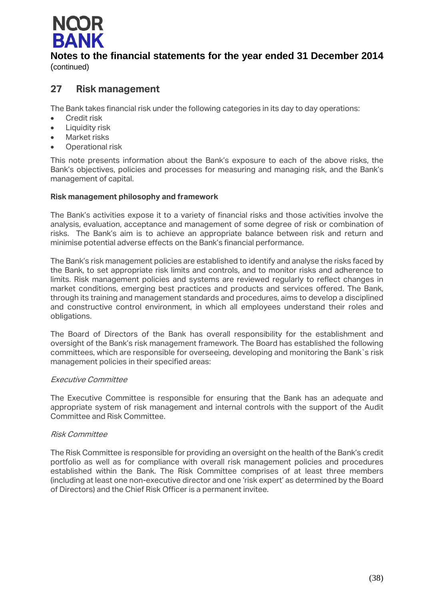

## **27 Risk management**

The Bank takes financial risk under the following categories in its day to day operations:

- **•** Credit risk
- Liquidity risk
- Market risks
- Operational risk

This note presents information about the Bank's exposure to each of the above risks, the Bank's objectives, policies and processes for measuring and managing risk, and the Bank's management of capital.

### **Risk management philosophy and framework**

The Bank's activities expose it to a variety of financial risks and those activities involve the analysis, evaluation, acceptance and management of some degree of risk or combination of risks. The Bank's aim is to achieve an appropriate balance between risk and return and minimise potential adverse effects on the Bank's financial performance.

The Bank's risk management policies are established to identify and analyse the risks faced by the Bank, to set appropriate risk limits and controls, and to monitor risks and adherence to limits. Risk management policies and systems are reviewed regularly to reflect changes in market conditions, emerging best practices and products and services offered. The Bank, through its training and management standards and procedures, aims to develop a disciplined and constructive control environment, in which all employees understand their roles and obligations.

The Board of Directors of the Bank has overall responsibility for the establishment and oversight of the Bank's risk management framework. The Board has established the following committees, which are responsible for overseeing, developing and monitoring the Bank`s risk management policies in their specified areas:

### Executive Committee

The Executive Committee is responsible for ensuring that the Bank has an adequate and appropriate system of risk management and internal controls with the support of the Audit Committee and Risk Committee.

### Risk Committee

The Risk Committee is responsible for providing an oversight on the health of the Bank's credit portfolio as well as for compliance with overall risk management policies and procedures established within the Bank. The Risk Committee comprises of at least three members (including at least one non-executive director and one 'risk expert' as determined by the Board of Directors) and the Chief Risk Officer is a permanent invitee.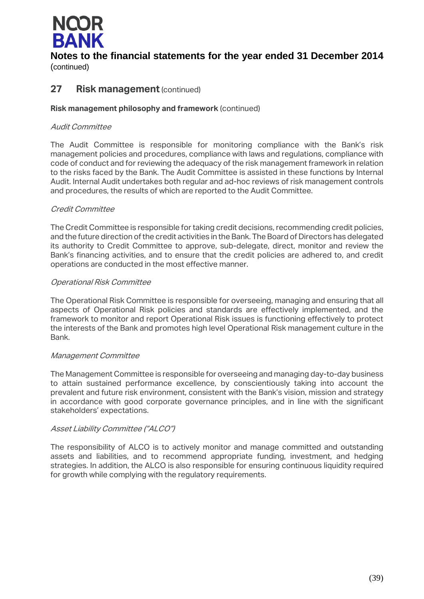

## **Notes to the financial statements for the year ended 31 December 2014**

(continued)

## **27 Risk management** (continued)

### **Risk management philosophy and framework** (continued)

### Audit Committee

The Audit Committee is responsible for monitoring compliance with the Bank's risk management policies and procedures, compliance with laws and regulations, compliance with code of conduct and for reviewing the adequacy of the risk management framework in relation to the risks faced by the Bank. The Audit Committee is assisted in these functions by Internal Audit. Internal Audit undertakes both regular and ad-hoc reviews of risk management controls and procedures, the results of which are reported to the Audit Committee.

### Credit Committee

The Credit Committee is responsible for taking credit decisions, recommending credit policies, and the future direction of the credit activities in the Bank. The Board of Directors has delegated its authority to Credit Committee to approve, sub-delegate, direct, monitor and review the Bank's financing activities, and to ensure that the credit policies are adhered to, and credit operations are conducted in the most effective manner.

### Operational Risk Committee

The Operational Risk Committee is responsible for overseeing, managing and ensuring that all aspects of Operational Risk policies and standards are effectively implemented, and the framework to monitor and report Operational Risk issues is functioning effectively to protect the interests of the Bank and promotes high level Operational Risk management culture in the Bank.

### Management Committee

The Management Committee is responsible for overseeing and managing day-to-day business to attain sustained performance excellence, by conscientiously taking into account the prevalent and future risk environment, consistent with the Bank's vision, mission and strategy in accordance with good corporate governance principles, and in line with the significant stakeholders' expectations.

### Asset Liability Committee ("ALCO")

The responsibility of ALCO is to actively monitor and manage committed and outstanding assets and liabilities, and to recommend appropriate funding, investment, and hedging strategies. In addition, the ALCO is also responsible for ensuring continuous liquidity required for growth while complying with the regulatory requirements.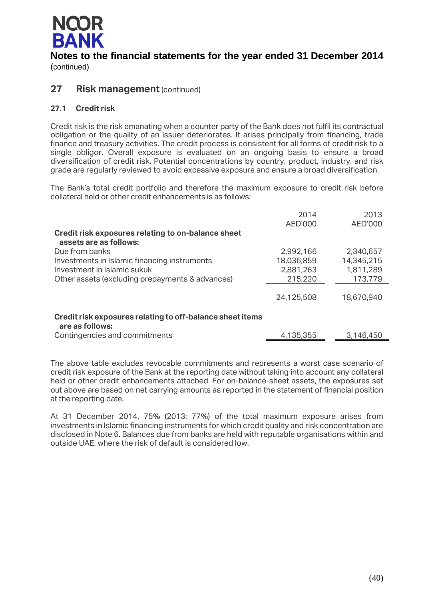

## **27 Risk management** (continued)

### **27.1 Credit risk**

Credit risk is the risk emanating when a counter party of the Bank does not fulfil its contractual obligation or the quality of an issuer deteriorates. It arises principally from financing, trade finance and treasury activities. The credit process is consistent for all forms of credit risk to a single obligor. Overall exposure is evaluated on an ongoing basis to ensure a broad diversification of credit risk. Potential concentrations by country, product, industry, and risk grade are regularly reviewed to avoid excessive exposure and ensure a broad diversification.

The Bank's total credit portfolio and therefore the maximum exposure to credit risk before collateral held or other credit enhancements is as follows:

|                                                                              | 2014       | 2013       |
|------------------------------------------------------------------------------|------------|------------|
|                                                                              | AED'000    | AED'000    |
| Credit risk exposures relating to on-balance sheet<br>assets are as follows: |            |            |
| Due from banks                                                               | 2,992,166  | 2,340,657  |
| Investments in Islamic financing instruments                                 | 18,036,859 | 14,345,215 |
| Investment in Islamic sukuk                                                  | 2,881,263  | 1,811,289  |
| Other assets (excluding prepayments & advances)                              | 215,220    | 173,779    |
|                                                                              |            |            |
|                                                                              | 24,125,508 | 18,670,940 |
|                                                                              |            |            |
| Credit risk exposures relating to off-balance sheet items<br>are as follows: |            |            |
| Contingencies and commitments                                                | 4,135,355  | 3,146,450  |

The above table excludes revocable commitments and represents a worst case scenario of credit risk exposure of the Bank at the reporting date without taking into account any collateral held or other credit enhancements attached. For on-balance-sheet assets, the exposures set out above are based on net carrying amounts as reported in the statement of financial position at the reporting date.

At 31 December 2014, 75% (2013: 77%) of the total maximum exposure arises from investments in Islamic financing instruments for which credit quality and risk concentration are disclosed in Note 6. Balances due from banks are held with reputable organisations within and outside UAE, where the risk of default is considered low.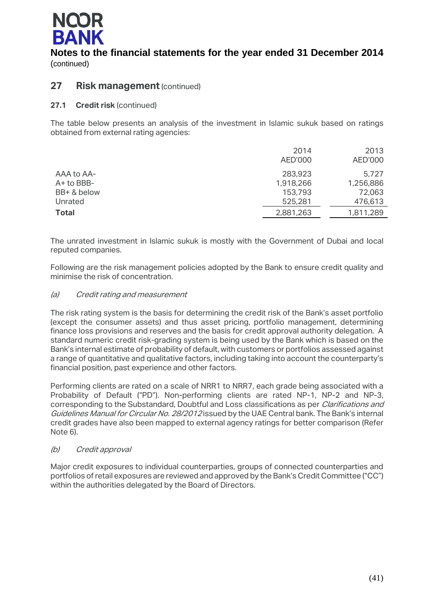

## **27 Risk management** (continued)

**27.1 Credit risk** (continued)

The table below presents an analysis of the investment in Islamic sukuk based on ratings obtained from external rating agencies:

|              | 2014      | 2013      |
|--------------|-----------|-----------|
|              | AED'000   | AED'000   |
| AAA to AA-   | 283,923   | 5.727     |
| A+ to BBB-   | 1,918,266 | 1,256,886 |
| BB+ & below  | 153,793   | 72,063    |
| Unrated      | 525,281   | 476,613   |
| <b>Total</b> | 2,881,263 | 1,811,289 |
|              |           |           |

The unrated investment in Islamic sukuk is mostly with the Government of Dubai and local reputed companies.

Following are the risk management policies adopted by the Bank to ensure credit quality and minimise the risk of concentration.

### (a) Credit rating and measurement

The risk rating system is the basis for determining the credit risk of the Bank's asset portfolio (except the consumer assets) and thus asset pricing, portfolio management, determining finance loss provisions and reserves and the basis for credit approval authority delegation. A standard numeric credit risk-grading system is being used by the Bank which is based on the Bank's internal estimate of probability of default, with customers or portfolios assessed against a range of quantitative and qualitative factors, including taking into account the counterparty's financial position, past experience and other factors.

Performing clients are rated on a scale of NRR1 to NRR7, each grade being associated with a Probability of Default ("PD"). Non-performing clients are rated NP-1, NP-2 and NP-3, corresponding to the Substandard, Doubtful and Loss classifications as per *Clarifications and* Guidelines Manual for Circular No. 28/2012 issued by the UAE Central bank. The Bank's internal credit grades have also been mapped to external agency ratings for better comparison (Refer Note 6).

### (b) Credit approval

Major credit exposures to individual counterparties, groups of connected counterparties and portfolios of retail exposures are reviewed and approved by the Bank's Credit Committee ("CC") within the authorities delegated by the Board of Directors.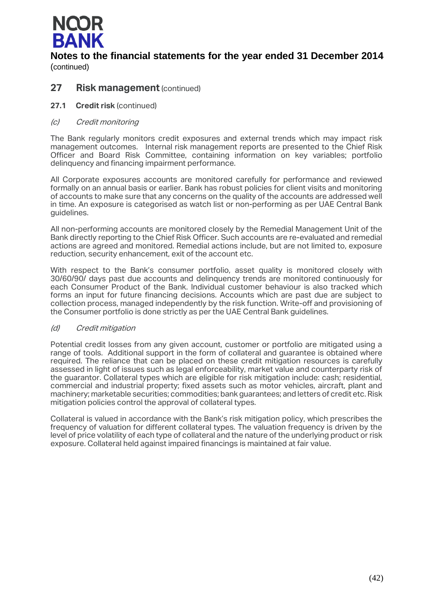

### **27 Risk management** (continued)

- **27.1 Credit risk** (continued)
- (c) Credit monitoring

The Bank regularly monitors credit exposures and external trends which may impact risk management outcomes. Internal risk management reports are presented to the Chief Risk Officer and Board Risk Committee, containing information on key variables; portfolio delinquency and financing impairment performance.

All Corporate exposures accounts are monitored carefully for performance and reviewed formally on an annual basis or earlier. Bank has robust policies for client visits and monitoring of accounts to make sure that any concerns on the quality of the accounts are addressed well in time. An exposure is categorised as watch list or non-performing as per UAE Central Bank guidelines.

All non-performing accounts are monitored closely by the Remedial Management Unit of the Bank directly reporting to the Chief Risk Officer. Such accounts are re-evaluated and remedial actions are agreed and monitored. Remedial actions include, but are not limited to, exposure reduction, security enhancement, exit of the account etc.

With respect to the Bank's consumer portfolio, asset quality is monitored closely with 30/60/90/ days past due accounts and delinquency trends are monitored continuously for each Consumer Product of the Bank. Individual customer behaviour is also tracked which forms an input for future financing decisions. Accounts which are past due are subject to collection process, managed independently by the risk function. Write-off and provisioning of the Consumer portfolio is done strictly as per the UAE Central Bank guidelines.

### (d) Credit mitigation

Potential credit losses from any given account, customer or portfolio are mitigated using a range of tools. Additional support in the form of collateral and guarantee is obtained where required. The reliance that can be placed on these credit mitigation resources is carefully assessed in light of issues such as legal enforceability, market value and counterparty risk of the guarantor. Collateral types which are eligible for risk mitigation include: cash; residential, commercial and industrial property; fixed assets such as motor vehicles, aircraft, plant and machinery; marketable securities; commodities; bank guarantees; and letters of credit etc. Risk mitigation policies control the approval of collateral types.

Collateral is valued in accordance with the Bank's risk mitigation policy, which prescribes the frequency of valuation for different collateral types. The valuation frequency is driven by the level of price volatility of each type of collateral and the nature of the underlying product or risk exposure. Collateral held against impaired financings is maintained at fair value.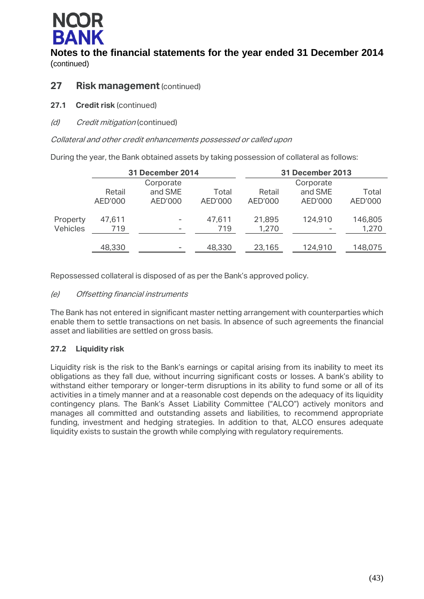

## **27 Risk management** (continued)

- **27.1 Credit risk** (continued)
- (d) Credit mitigation (continued)

### Collateral and other credit enhancements possessed or called upon

During the year, the Bank obtained assets by taking possession of collateral as follows:

|          |         | <b>31 December 2014</b> |         | <b>31 December 2013</b> |           |         |
|----------|---------|-------------------------|---------|-------------------------|-----------|---------|
|          |         | Corporate               |         |                         | Corporate |         |
|          | Retail  | and SME                 | Total   | Retail                  | and SME   | Total   |
|          | AED'000 | AED'000                 | AED'000 | AED'000                 | AED'000   | AED'000 |
| Property | 47,611  | ۰                       | 47,611  | 21,895                  | 124,910   | 146,805 |
| Vehicles | 719     | -                       | 719     | 1,270                   |           | 1,270   |
|          |         |                         |         |                         |           |         |
|          | 48,330  | -                       | 48,330  | 23,165                  | 124,910   | 148,075 |

Repossessed collateral is disposed of as per the Bank's approved policy.

### (e) Offsetting financial instruments

The Bank has not entered in significant master netting arrangement with counterparties which enable them to settle transactions on net basis. In absence of such agreements the financial asset and liabilities are settled on gross basis.

### **27.2 Liquidity risk**

Liquidity risk is the risk to the Bank's earnings or capital arising from its inability to meet its obligations as they fall due, without incurring significant costs or losses. A bank's ability to withstand either temporary or longer-term disruptions in its ability to fund some or all of its activities in a timely manner and at a reasonable cost depends on the adequacy of its liquidity contingency plans. The Bank's Asset Liability Committee ("ALCO") actively monitors and manages all committed and outstanding assets and liabilities, to recommend appropriate funding, investment and hedging strategies. In addition to that, ALCO ensures adequate liquidity exists to sustain the growth while complying with regulatory requirements.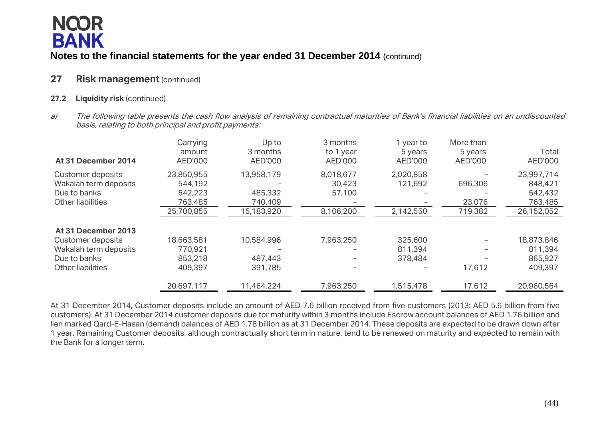# **NCOR BANK**

## **Notes to the financial statements for the year ended 31 December 2014** (continued)

## **27 Risk management** (continued)

### **27.2 Liquidity risk** (continued)

a) The following table presents the cash flow analysis of remaining contractual maturities of Bank's financial liabilities on an undiscounted basis, relating to both principal and profit payments:

| At 31 December 2014   | Carrying<br>amount<br>AED'000 | Up to<br>3 months<br>AED'000 | 3 months<br>to 1 year<br>AED'000 | I year to<br>5 years<br>AED'000 | More than<br>5 years<br>AED'000 | Total<br>AED'000 |
|-----------------------|-------------------------------|------------------------------|----------------------------------|---------------------------------|---------------------------------|------------------|
| Customer deposits     | 23,850,955                    | 13,958,179                   | 8,018,677                        | 2,020,858                       |                                 | 23,997,714       |
| Wakalah term deposits | 544,192                       |                              | 30,423                           | 121,692                         | 696,306                         | 848,421          |
| Due to banks          | 542,223                       | 485,332                      | 57,100                           |                                 |                                 | 542,432          |
| Other liabilities     | 763,485                       | 740,409                      |                                  |                                 | 23,076                          | 763,485          |
|                       | 25,700,855                    | 15,183,920                   | 8,106,200                        | 2,142,550                       | 719,382                         | 26,152,052       |
| At 31 December 2013   |                               |                              |                                  |                                 |                                 |                  |
| Customer deposits     | 18,663,581                    | 10,584,996                   | 7,963,250                        | 325,600                         |                                 | 18,873,846       |
| Wakalah term deposits | 770,921                       |                              |                                  | 811,394                         |                                 | 811,394          |
| Due to banks          | 853,218                       | 487,443                      |                                  | 378,484                         |                                 | 865,927          |
| Other liabilities     | 409,397                       | 391,785                      | -                                |                                 | 17,612                          | 409,397          |
|                       | 20,697,117                    | 11,464,224                   | 7,963,250                        | 1,515,478                       | 17,612                          | 20,960,564       |

At 31 December 2014, Customer deposits include an amount of AED 7.6 billion received from five customers (2013: AED 5.6 billion from five customers). At 31 December 2014 customer deposits due for maturity within 3 months include Escrow account balances of AED 1.76 billion and lien marked Qard-E-Hasan (demand) balances of AED 1.78 billion as at 31 December 2014. These deposits are expected to be drawn down after 1 year. Remaining Customer deposits, although contractually short term in nature, tend to be renewed on maturity and expected to remain with the Bank for a longer term.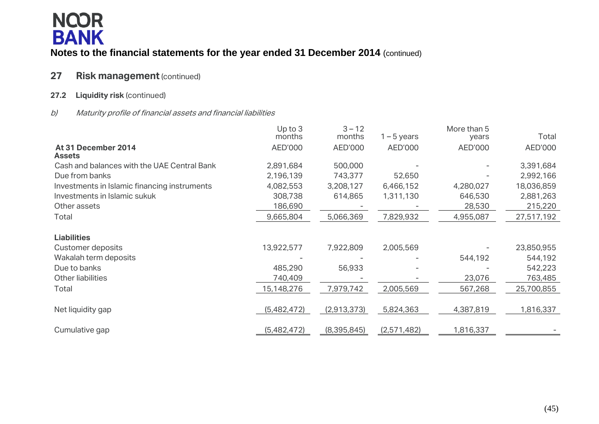

## **27** Risk management (continued)

### **27.2 Liquidity risk** (continued)

### b) Maturity profile of financial assets and financial liabilities

|                                              | Up to 3<br>months | $3 - 12$<br>months | $1 - 5$ years | More than 5<br>years | Total      |
|----------------------------------------------|-------------------|--------------------|---------------|----------------------|------------|
| At 31 December 2014                          | AED'000           | AED'000            | AED'000       | AED'000              | AED'000    |
| <b>Assets</b>                                |                   |                    |               |                      |            |
| Cash and balances with the UAE Central Bank  | 2,891,684         | 500,000            |               |                      | 3,391,684  |
| Due from banks                               | 2,196,139         | 743,377            | 52,650        |                      | 2,992,166  |
| Investments in Islamic financing instruments | 4,082,553         | 3,208,127          | 6,466,152     | 4,280,027            | 18,036,859 |
| Investments in Islamic sukuk                 | 308,738           | 614,865            | 1,311,130     | 646,530              | 2,881,263  |
| Other assets                                 | 186,690           |                    |               | 28,530               | 215,220    |
| Total                                        | 9,665,804         | 5,066,369          | 7,829,932     | 4,955,087            | 27,517,192 |
| <b>Liabilities</b>                           |                   |                    |               |                      |            |
| Customer deposits                            | 13,922,577        | 7,922,809          | 2,005,569     |                      | 23,850,955 |
| Wakalah term deposits                        |                   |                    |               | 544,192              | 544,192    |
| Due to banks                                 | 485,290           | 56,933             |               |                      | 542,223    |
| <b>Other liabilities</b>                     | 740,409           |                    |               | 23,076               | 763,485    |
| Total                                        | 15,148,276        | 7,979,742          | 2,005,569     | 567,268              | 25,700,855 |
| Net liquidity gap                            | (5,482,472)       | (2,913,373)        | 5,824,363     | 4,387,819            | 1,816,337  |
| Cumulative gap                               | (5,482,472)       | (8,395,845)        | (2,571,482)   | 1,816,337            |            |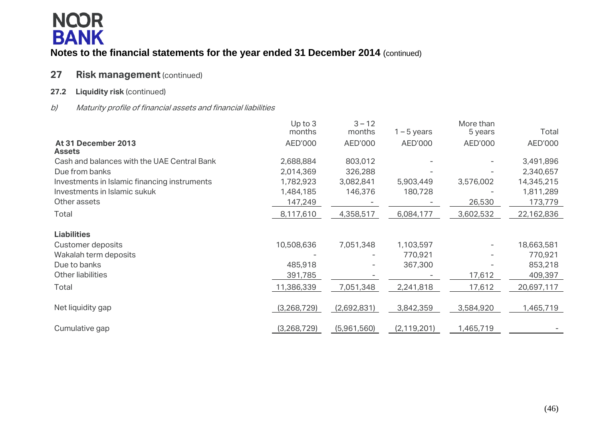

## **27 Risk management** (continued)

### **27.2 Liquidity risk** (continued)

### b) Maturity profile of financial assets and financial liabilities

|                                              | Up to 3<br>months | $3 - 12$<br>months | $1 - 5$ years | More than<br>5 years | Total      |
|----------------------------------------------|-------------------|--------------------|---------------|----------------------|------------|
| At 31 December 2013<br><b>Assets</b>         | AED'000           | AED'000            | AED'000       | AED'000              | AED'000    |
| Cash and balances with the UAE Central Bank  | 2,688,884         | 803,012            |               |                      | 3,491,896  |
| Due from banks                               | 2,014,369         | 326,288            |               |                      | 2,340,657  |
| Investments in Islamic financing instruments | 1,782,923         | 3,082,841          | 5,903,449     | 3,576,002            | 14,345,215 |
| Investments in Islamic sukuk                 | 1,484,185         | 146,376            | 180,728       |                      | 1,811,289  |
| Other assets                                 | 147,249           |                    |               | 26,530               | 173,779    |
| Total                                        | 8,117,610         | 4,358,517          | 6,084,177     | 3,602,532            | 22,162,836 |
| <b>Liabilities</b>                           |                   |                    |               |                      |            |
| <b>Customer deposits</b>                     | 10,508,636        | 7,051,348          | 1,103,597     | -                    | 18,663,581 |
| Wakalah term deposits                        |                   |                    | 770,921       |                      | 770,921    |
| Due to banks                                 | 485,918           |                    | 367,300       |                      | 853,218    |
| <b>Other liabilities</b>                     | 391,785           |                    |               | 17,612               | 409,397    |
| Total                                        | 11,386,339        | 7,051,348          | 2,241,818     | 17,612               | 20,697,117 |
| Net liquidity gap                            | (3, 268, 729)     | (2,692,831)        | 3,842,359     | 3,584,920            | 1,465,719  |
| Cumulative gap                               | (3, 268, 729)     | (5,961,560)        | (2, 119, 201) | 1,465,719            |            |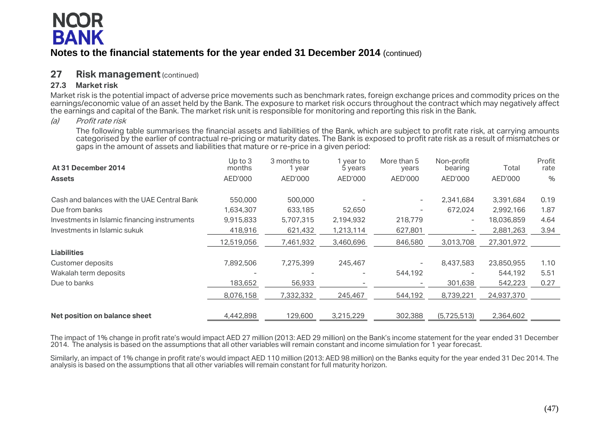# **NQOR BANK**

## **Notes to the financial statements for the year ended 31 December 2014** (continued)

## **27 Risk management** (continued)

### **27.3 Market risk**

Market risk is the potential impact of adverse price movements such as benchmark rates, foreign exchange prices and commodity prices on the earnings/economic value of an asset held by the Bank. The exposure to market risk occurs throughout the contract which may negatively affect the earnings and capital of the Bank. The market risk unit is responsible for monitoring and reporting this risk in the Bank.

### (a) Profit rate risk

The following table summarises the financial assets and liabilities of the Bank, which are subject to profit rate risk, at carrying amounts categorised by the earlier of contractual re-pricing or maturity dates. The Bank is exposed to profit rate risk as a result of mismatches or gaps in the amount of assets and liabilities that mature or re-price in a given period:

| At 31 December 2014                          | Up to $3$<br>months | 3 months to<br>1 year | year to<br>5 years | More than 5<br>years     | Non-profit<br>bearing    | Total      | Profit<br>rate |
|----------------------------------------------|---------------------|-----------------------|--------------------|--------------------------|--------------------------|------------|----------------|
| <b>Assets</b>                                | AED'000             | AED'000               | AED'000            | AED'000                  | AED'000                  | AED'000    | $\%$           |
| Cash and balances with the UAE Central Bank  | 550,000             | 500,000               |                    | $\overline{\phantom{a}}$ | 2,341,684                | 3,391,684  | 0.19           |
| Due from banks                               | 1,634,307           | 633,185               | 52,650             | $\overline{\phantom{a}}$ | 672,024                  | 2,992,166  | 1.87           |
| Investments in Islamic financing instruments | 9,915,833           | 5,707,315             | 2,194,932          | 218,779                  | $\overline{\phantom{0}}$ | 18,036,859 | 4.64           |
| Investments in Islamic sukuk                 | 418,916             | 621,432               | 1,213,114          | 627,801                  |                          | 2,881,263  | 3.94           |
|                                              | 12,519,056          | 7,461,932             | 3,460,696          | 846,580                  | 3,013,708                | 27,301,972 |                |
| <b>Liabilities</b>                           |                     |                       |                    |                          |                          |            |                |
| Customer deposits                            | 7,892,506           | 7,275,399             | 245,467            | $\overline{\phantom{a}}$ | 8,437,583                | 23,850,955 | 1.10           |
| Wakalah term deposits                        |                     |                       |                    | 544,192                  |                          | 544,192    | 5.51           |
| Due to banks                                 | 183,652             | 56,933                |                    | $\overline{\phantom{a}}$ | 301,638                  | 542,223    | 0.27           |
|                                              | 8,076,158           | 7,332,332             | 245,467            | 544,192                  | 8,739,221                | 24,937,370 |                |
| Net position on balance sheet                | 4,442,898           | 129,600               | 3,215,229          | 302,388                  | (5,725,513)              | 2,364,602  |                |

The impact of 1% change in profit rate's would impact AED 27 million (2013: AED 29 million) on the Bank's income statement for the year ended 31 December 2014. The analysis is based on the assumptions that all other variables will remain constant and income simulation for 1 year forecast.

Similarly, an impact of 1% change in profit rate's would impact AED 110 million (2013: AED 98 million) on the Banks equity for the year ended 31 Dec 2014. The analysis is based on the assumptions that all other variables will remain constant for full maturity horizon.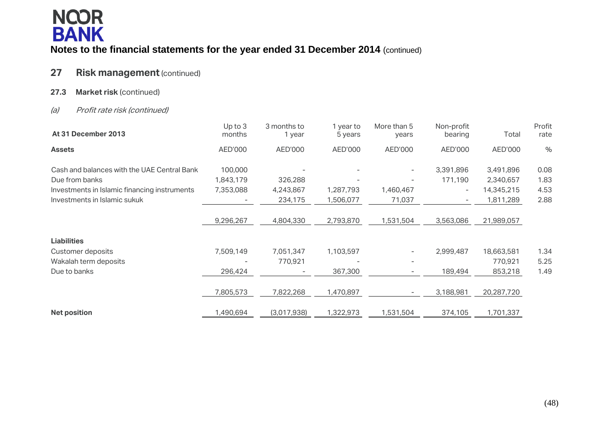

## **27 Risk management**(continued)

**27.3 Market risk** (continued)

### (a) Profit rate risk (continued)

| At 31 December 2013                          | Up to $3$<br>months | 3 months to<br>1 year | 1 year to<br>5 years | More than 5<br>years     | Non-profit<br>bearing | Total      | Profit<br>rate |
|----------------------------------------------|---------------------|-----------------------|----------------------|--------------------------|-----------------------|------------|----------------|
| <b>Assets</b>                                | AED'000             | AED'000               | AED'000              | AED'000                  | AED'000               | AED'000    | $\frac{0}{0}$  |
| Cash and balances with the UAE Central Bank  | 100,000             |                       |                      |                          | 3,391,896             | 3,491,896  | 0.08           |
| Due from banks                               | 1,843,179           | 326,288               |                      |                          | 171,190               | 2,340,657  | 1.83           |
| Investments in Islamic financing instruments | 7,353,088           | 4,243,867             | 1,287,793            | 1,460,467                | $-$                   | 14,345,215 | 4.53           |
| Investments in Islamic sukuk                 |                     | 234,175               | 1,506,077            | 71,037                   |                       | 1,811,289  | 2.88           |
|                                              |                     |                       |                      |                          |                       |            |                |
|                                              | 9,296,267           | 4,804,330             | 2,793,870            | 1,531,504                | 3,563,086             | 21,989,057 |                |
| <b>Liabilities</b>                           |                     |                       |                      |                          |                       |            |                |
| <b>Customer deposits</b>                     | 7,509,149           | 7,051,347             | 1,103,597            | $\overline{\phantom{a}}$ | 2,999,487             | 18,663,581 | 1.34           |
| Wakalah term deposits                        |                     | 770,921               |                      |                          |                       | 770,921    | 5.25           |
| Due to banks                                 | 296,424             |                       | 367,300              | $\overline{\phantom{a}}$ | 189,494               | 853,218    | 1.49           |
|                                              | 7,805,573           | 7,822,268             | 1,470,897            | $-$                      | 3,188,981             | 20,287,720 |                |
| <b>Net position</b>                          | 1,490,694           | (3,017,938)           | 1,322,973            | 1,531,504                | 374,105               | 1,701,337  |                |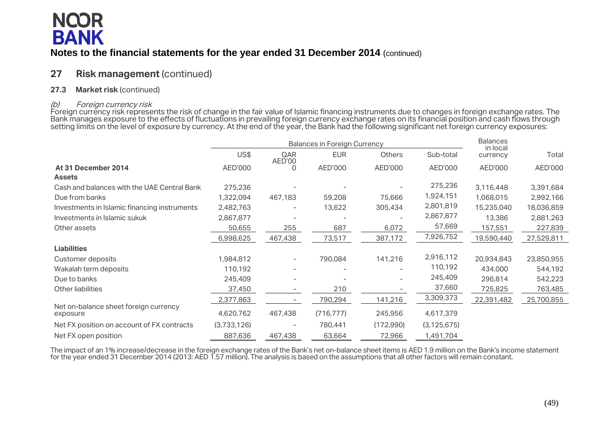

## **27 Risk management** (continued)

### **27.3 Market risk** (continued)

### (b) Foreign currency risk

Foreign currency risk represents the risk of change in the fair value of Islamic financing instruments due to changes in foreign exchange rates. The Bank manages exposure to the effects of fluctuations in prevailing foreign currency exchange rates on its financial position and cash flows through setting limits on the level of exposure by currency. At the end of the year, the Bank had the following significant net foreign currency exposures:

|                                                   |             | <b>Balances in Foreign Currency</b> |            | <b>Balances</b><br>in local |               |            |            |
|---------------------------------------------------|-------------|-------------------------------------|------------|-----------------------------|---------------|------------|------------|
|                                                   | US\$        | QAR<br>AED'00                       | <b>EUR</b> | <b>Others</b>               | Sub-total     | currency   | Total      |
| At 31 December 2014                               | AED'000     | 0                                   | AED'000    | AED'000                     | AED'000       | AED'000    | AED'000    |
| <b>Assets</b>                                     |             |                                     |            |                             |               |            |            |
| Cash and balances with the UAE Central Bank       | 275,236     |                                     |            |                             | 275,236       | 3,116,448  | 3,391,684  |
| Due from banks                                    | 1,322,094   | 467,183                             | 59,208     | 75,666                      | 1,924,151     | 1,068,015  | 2,992,166  |
| Investments in Islamic financing instruments      | 2,482,763   |                                     | 13,622     | 305,434                     | 2,801,819     | 15,235,040 | 18,036,859 |
| Investments in Islamic sukuk                      | 2,867,877   |                                     |            |                             | 2,867,877     | 13,386     | 2,881,263  |
| Other assets                                      | 50,655      | 255                                 | 687        | 6,072                       | 57,669        | 157,551    | 227,839    |
|                                                   | 6,998,625   | 467,438                             | 73,517     | 387,172                     | 7,926,752     | 19,590,440 | 27,529,811 |
| <b>Liabilities</b>                                |             |                                     |            |                             |               |            |            |
| Customer deposits                                 | 1,984,812   |                                     | 790,084    | 141,216                     | 2,916,112     | 20,934,843 | 23,850,955 |
| Wakalah term deposits                             | 110,192     |                                     |            |                             | 110,192       | 434,000    | 544,192    |
| Due to banks                                      | 245,409     |                                     |            |                             | 245,409       | 296,814    | 542,223    |
| Other liabilities                                 | 37,450      |                                     | 210        |                             | 37,660        | 725,825    | 763,485    |
|                                                   | 2,377,863   |                                     | 790,294    | 141,216                     | 3,309,373     | 22,391,482 | 25,700,855 |
| Net on-balance sheet foreign currency<br>exposure | 4,620,762   | 467,438                             | (716, 777) | 245,956                     | 4,617,379     |            |            |
| Net FX position on account of FX contracts        | (3,733,126) |                                     | 780,441    | (172,990)                   | (3, 125, 675) |            |            |
| Net FX open position                              | 887,636     | 467,438                             | 63,664     | 72,966                      | 1,491,704     |            |            |

The impact of an 1% increase/decrease in the foreign exchange rates of the Bank's net on-balance sheet items is AED 1.9 million on the Bank's income statement for the year ended 31 December 2014 (2013: AED 1.57 million). The analysis is based on the assumptions that all other factors will remain constant.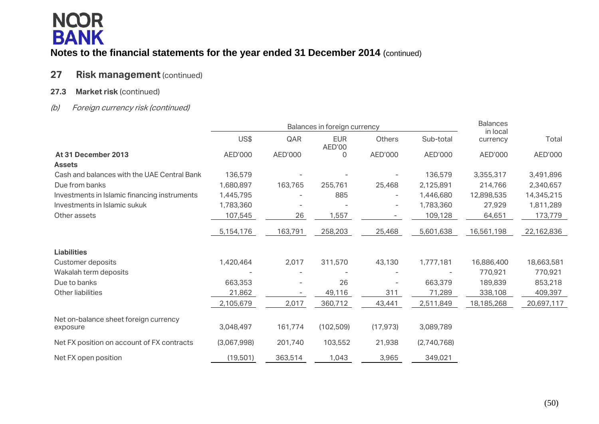## **27 Risk management** (continued)

### **27.3 Market risk** (continued)

## (b) Foreign currency risk (continued)

|                                              |             |                   | Balances in foreign currency |                          |             | <b>Balances</b><br>in local |            |
|----------------------------------------------|-------------|-------------------|------------------------------|--------------------------|-------------|-----------------------------|------------|
|                                              | US\$        | QAR               | <b>EUR</b><br>AED'00         | Others                   | Sub-total   | currency                    | Total      |
| At 31 December 2013                          | AED'000     | AED'000           | 0                            | AED'000                  | AED'000     | AED'000                     | AED'000    |
| <b>Assets</b>                                |             |                   |                              |                          |             |                             |            |
| Cash and balances with the UAE Central Bank  | 136,579     |                   |                              |                          | 136,579     | 3,355,317                   | 3,491,896  |
| Due from banks                               | 1,680,897   | 163,765           | 255,761                      | 25,468                   | 2,125,891   | 214,766                     | 2,340,657  |
| Investments in Islamic financing instruments | 1,445,795   |                   | 885                          | $\overline{\phantom{a}}$ | 1,446,680   | 12,898,535                  | 14,345,215 |
| Investments in Islamic sukuk                 | 1,783,360   |                   |                              | $\overline{\phantom{a}}$ | 1,783,360   | 27,929                      | 1,811,289  |
| Other assets                                 | 107,545     | 26                | 1,557                        |                          | 109,128     | 64,651                      | 173,779    |
|                                              | 5,154,176   | 163,791           | 258,203                      | 25,468                   | 5,601,638   | 16,561,198                  | 22,162,836 |
| <b>Liabilities</b>                           |             |                   |                              |                          |             |                             |            |
| Customer deposits                            | 1,420,464   | 2,017             | 311,570                      | 43,130                   | 1,777,181   | 16,886,400                  | 18,663,581 |
| Wakalah term deposits                        |             |                   |                              |                          |             | 770,921                     | 770,921    |
| Due to banks                                 | 663,353     |                   | 26                           |                          | 663,379     | 189,839                     | 853,218    |
| <b>Other liabilities</b>                     | 21,862      | $\qquad \qquad -$ | 49,116                       | 311                      | 71,289      | 338,108                     | 409,397    |
|                                              | 2,105,679   | 2,017             | 360,712                      | 43,441                   | 2,511,849   | 18,185,268                  | 20,697,117 |
| Net on-balance sheet foreign currency        |             |                   |                              |                          |             |                             |            |
| exposure                                     | 3,048,497   | 161,774           | (102, 509)                   | (17, 973)                | 3,089,789   |                             |            |
| Net FX position on account of FX contracts   | (3,067,998) | 201,740           | 103,552                      | 21,938                   | (2,740,768) |                             |            |
| Net FX open position                         | (19,501)    | 363,514           | 1,043                        | 3,965                    | 349,021     |                             |            |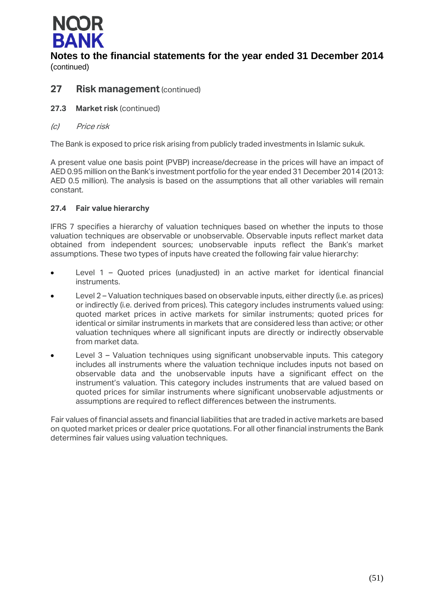

## **27 Risk management** (continued)

- **27.3 Market risk** (continued)
- (c) Price risk

The Bank is exposed to price risk arising from publicly traded investments in Islamic sukuk.

A present value one basis point (PVBP) increase/decrease in the prices will have an impact of AED 0.95 million on the Bank's investment portfolio for the year ended 31 December 2014 (2013: AED 0.5 million). The analysis is based on the assumptions that all other variables will remain constant.

### **27.4 Fair value hierarchy**

IFRS 7 specifies a hierarchy of valuation techniques based on whether the inputs to those valuation techniques are observable or unobservable. Observable inputs reflect market data obtained from independent sources; unobservable inputs reflect the Bank's market assumptions. These two types of inputs have created the following fair value hierarchy:

- Level 1 Quoted prices (unadjusted) in an active market for identical financial instruments.
- Level 2 Valuation techniques based on observable inputs, either directly (i.e. as prices) or indirectly (i.e. derived from prices). This category includes instruments valued using: quoted market prices in active markets for similar instruments; quoted prices for identical or similar instruments in markets that are considered less than active; or other valuation techniques where all significant inputs are directly or indirectly observable from market data.
- Level 3 Valuation techniques using significant unobservable inputs. This category includes all instruments where the valuation technique includes inputs not based on observable data and the unobservable inputs have a significant effect on the instrument's valuation. This category includes instruments that are valued based on quoted prices for similar instruments where significant unobservable adjustments or assumptions are required to reflect differences between the instruments.

Fair values of financial assets and financial liabilities that are traded in active markets are based on quoted market prices or dealer price quotations. For all other financial instruments the Bank determines fair values using valuation techniques.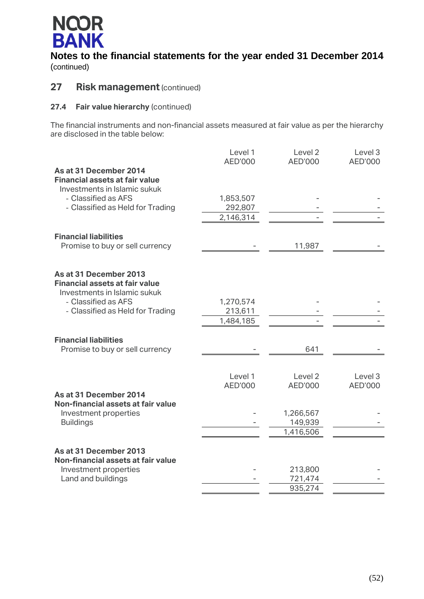

## **27** Risk management (continued)

### **27.4 Fair value hierarchy** (continued)

The financial instruments and non-financial assets measured at fair value as per the hierarchy are disclosed in the table below:

|                                                                 | Level 1<br>AED'000 | Level 2<br>AED'000   | Level 3<br>AED'000 |
|-----------------------------------------------------------------|--------------------|----------------------|--------------------|
| As at 31 December 2014                                          |                    |                      |                    |
| <b>Financial assets at fair value</b>                           |                    |                      |                    |
| Investments in Islamic sukuk                                    |                    |                      |                    |
| - Classified as AFS                                             | 1,853,507          |                      |                    |
| - Classified as Held for Trading                                | 292,807            |                      |                    |
|                                                                 | 2,146,314          |                      |                    |
| <b>Financial liabilities</b>                                    |                    |                      |                    |
| Promise to buy or sell currency                                 |                    | 11,987               |                    |
|                                                                 |                    |                      |                    |
|                                                                 |                    |                      |                    |
| As at 31 December 2013<br><b>Financial assets at fair value</b> |                    |                      |                    |
| Investments in Islamic sukuk                                    |                    |                      |                    |
| - Classified as AFS                                             | 1,270,574          |                      |                    |
| - Classified as Held for Trading                                | 213,611            |                      |                    |
|                                                                 | 1,484,185          |                      |                    |
|                                                                 |                    |                      |                    |
| <b>Financial liabilities</b>                                    |                    |                      |                    |
| Promise to buy or sell currency                                 |                    | 641                  |                    |
|                                                                 |                    |                      |                    |
|                                                                 | Level 1            | Level <sub>2</sub>   | Level 3            |
|                                                                 | AED'000            | AED'000              | AED'000            |
| As at 31 December 2014                                          |                    |                      |                    |
| Non-financial assets at fair value                              |                    |                      |                    |
| Investment properties<br><b>Buildings</b>                       |                    | 1,266,567<br>149,939 |                    |
|                                                                 |                    | 1,416,506            |                    |
|                                                                 |                    |                      |                    |
| As at 31 December 2013                                          |                    |                      |                    |
| Non-financial assets at fair value                              |                    |                      |                    |
| Investment properties                                           |                    | 213,800              |                    |
| Land and buildings                                              |                    | 721,474              |                    |
|                                                                 |                    | 935,274              |                    |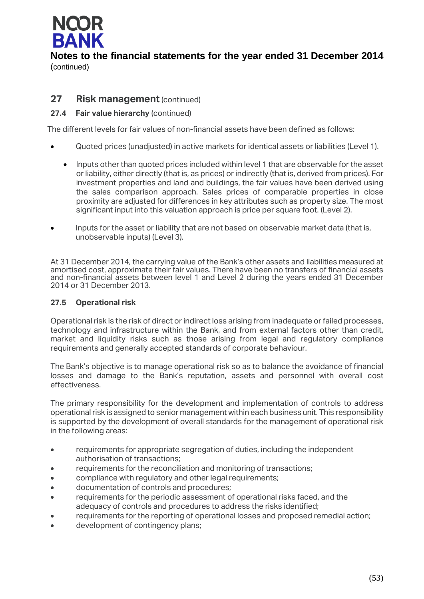

## **27 Risk management** (continued)

### **27.4 Fair value hierarchy** (continued)

The different levels for fair values of non-financial assets have been defined as follows:

- Quoted prices (unadjusted) in active markets for identical assets or liabilities (Level 1).
	- Inputs other than quoted prices included within level 1 that are observable for the asset or liability, either directly (that is, as prices) or indirectly (that is, derived from prices). For investment properties and land and buildings, the fair values have been derived using the sales comparison approach. Sales prices of comparable properties in close proximity are adjusted for differences in key attributes such as property size. The most significant input into this valuation approach is price per square foot. (Level 2).
- **Inputs for the asset or liability that are not based on observable market data (that is,** unobservable inputs) (Level 3).

At 31 December 2014, the carrying value of the Bank's other assets and liabilities measured at amortised cost, approximate their fair values. There have been no transfers of financial assets and non-financial assets between level 1 and Level 2 during the years ended 31 December 2014 or 31 December 2013.

### **27.5 Operational risk**

Operational risk is the risk of direct or indirect loss arising from inadequate or failed processes, technology and infrastructure within the Bank, and from external factors other than credit, market and liquidity risks such as those arising from legal and regulatory compliance requirements and generally accepted standards of corporate behaviour.

The Bank's objective is to manage operational risk so as to balance the avoidance of financial losses and damage to the Bank's reputation, assets and personnel with overall cost effectiveness.

The primary responsibility for the development and implementation of controls to address operational risk is assigned to senior management within each business unit. This responsibility is supported by the development of overall standards for the management of operational risk in the following areas:

- requirements for appropriate segregation of duties, including the independent authorisation of transactions;
- requirements for the reconciliation and monitoring of transactions;
- compliance with regulatory and other legal requirements;
- documentation of controls and procedures;
- requirements for the periodic assessment of operational risks faced, and the adequacy of controls and procedures to address the risks identified;
- requirements for the reporting of operational losses and proposed remedial action;
- development of contingency plans;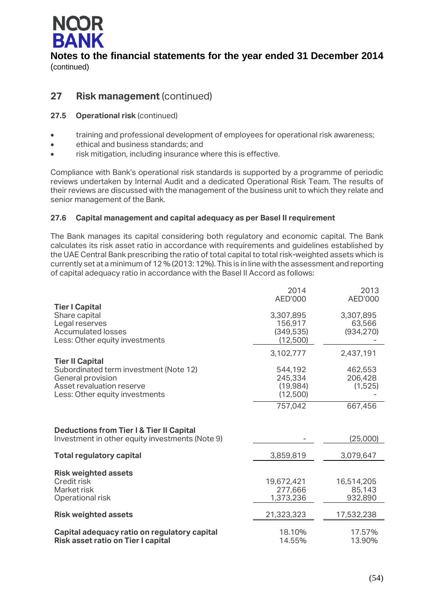

## **27 Risk management** (continued)

### **27.5 Operational risk** (continued)

- training and professional development of employees for operational risk awareness;
- ethical and business standards; and
- risk mitigation, including insurance where this is effective.

Compliance with Bank's operational risk standards is supported by a programme of periodic reviews undertaken by Internal Audit and a dedicated Operational Risk Team. The results of their reviews are discussed with the management of the business unit to which they relate and senior management of the Bank.

### **27.6 Capital management and capital adequacy as per Basel II requirement**

The Bank manages its capital considering both regulatory and economic capital. The Bank calculates its risk asset ratio in accordance with requirements and guidelines established by the UAE Central Bank prescribing the ratio of total capital to total risk-weighted assets which is currently set at a minimum of 12 % (2013: 12%). This is in line with the assessment and reporting of capital adequacy ratio in accordance with the Basel II Accord as follows:

|                                                                                                                            | 2014<br><b>AED'000</b>                         | 2013<br>AED'000                   |
|----------------------------------------------------------------------------------------------------------------------------|------------------------------------------------|-----------------------------------|
| <b>Tier I Capital</b><br>Share capital<br>Legal reserves<br><b>Accumulated losses</b><br>Less: Other equity investments    | 3,307,895<br>156,917<br>(349, 535)<br>(12,500) | 3,307,895<br>63,566<br>(934, 270) |
| <b>Tier II Capital</b>                                                                                                     | 3,102,777                                      | 2,437,191                         |
| Subordinated term investment (Note 12)<br>General provision<br>Asset revaluation reserve<br>Less: Other equity investments | 544,192<br>245,334<br>(19, 984)<br>(12,500)    | 462,553<br>206,428<br>(1,525)     |
|                                                                                                                            | 757,042                                        | 667,456                           |
| <b>Deductions from Tier I &amp; Tier II Capital</b><br>Investment in other equity investments (Note 9)                     |                                                | (25,000)                          |
| <b>Total regulatory capital</b>                                                                                            | 3,859,819                                      | 3,079,647                         |
| <b>Risk weighted assets</b><br>Credit risk<br>Market risk<br>Operational risk                                              | 19,672,421<br>277,666<br>1,373,236             | 16,514,205<br>85,143<br>932,890   |
| <b>Risk weighted assets</b>                                                                                                | 21,323,323                                     | 17,532,238                        |
| Capital adequacy ratio on regulatory capital<br>Risk asset ratio on Tier I capital                                         | 18.10%<br>14.55%                               | 17.57%<br>13.90%                  |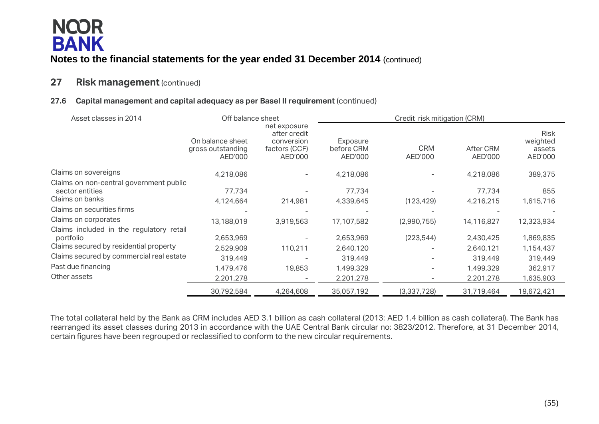## **27** Risk management (continued)

## **27.6 Capital management and capital adequacy as per Basel II requirement** (continued)

| Asset classes in 2014                                                                           | Off balance sheet                                |                                                                        | Credit risk mitigation (CRM)      |                          |                        |                                              |  |
|-------------------------------------------------------------------------------------------------|--------------------------------------------------|------------------------------------------------------------------------|-----------------------------------|--------------------------|------------------------|----------------------------------------------|--|
|                                                                                                 | On balance sheet<br>gross outstanding<br>AED'000 | net exposure<br>after credit<br>conversion<br>factors (CCF)<br>AED'000 | Exposure<br>before CRM<br>AED'000 | <b>CRM</b><br>AED'000    | After CRM<br>AED'000   | <b>Risk</b><br>weighted<br>assets<br>AED'000 |  |
| Claims on sovereigns                                                                            | 4,218,086                                        |                                                                        | 4,218,086                         |                          | 4,218,086              | 389,375                                      |  |
| Claims on non-central government public<br>sector entities<br>Claims on banks                   | 77,734                                           |                                                                        | 77,734                            |                          | 77.734                 | 855                                          |  |
| Claims on securities firms                                                                      | 4,124,664                                        | 214,981                                                                | 4,339,645                         | (123, 429)               | 4,216,215              | 1,615,716                                    |  |
| Claims on corporates                                                                            | 13,188,019                                       | 3,919,563                                                              | 17,107,582                        | (2,990,755)              | 14,116,827             | 12,323,934                                   |  |
| Claims included in the regulatory retail<br>portfolio<br>Claims secured by residential property | 2,653,969<br>2,529,909                           | 110,211                                                                | 2,653,969<br>2,640,120            | (223, 544)               | 2,430,425<br>2,640,121 | 1,869,835<br>1,154,437                       |  |
| Claims secured by commercial real estate                                                        | 319,449                                          |                                                                        | 319,449                           |                          | 319,449                | 319,449                                      |  |
| Past due financing                                                                              | 1,479,476                                        | 19,853                                                                 | 1,499,329                         | $\overline{\phantom{a}}$ | 1,499,329              | 362,917                                      |  |
| Other assets                                                                                    | 2,201,278                                        |                                                                        | 2,201,278                         | $\overline{\phantom{a}}$ | 2,201,278              | 1,635,903                                    |  |
|                                                                                                 | 30,792,584                                       | 4,264,608                                                              | 35,057,192                        | (3,337,728)              | 31,719,464             | 19,672,421                                   |  |

The total collateral held by the Bank as CRM includes AED 3.1 billion as cash collateral (2013: AED 1.4 billion as cash collateral). The Bank has rearranged its asset classes during 2013 in accordance with the UAE Central Bank circular no: 3823/2012. Therefore, at 31 December 2014, certain figures have been regrouped or reclassified to conform to the new circular requirements.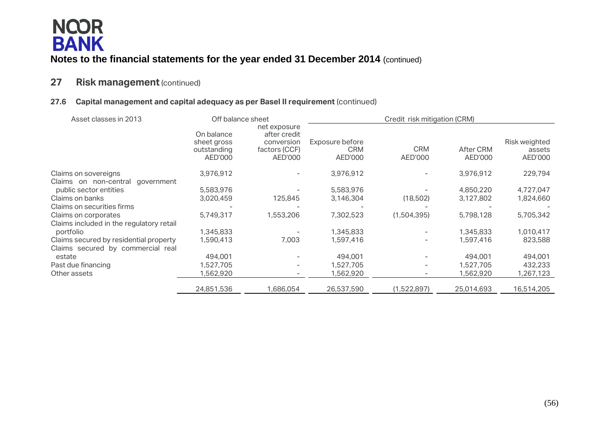## **27 Risk management**(continued)

## **27.6 Capital management and capital adequacy as per Basel II requirement** (continued)

| Asset classes in 2013                    | Off balance sheet                                   |                                                                        |                                          | Credit risk mitigation (CRM) |                      |                                    |  |
|------------------------------------------|-----------------------------------------------------|------------------------------------------------------------------------|------------------------------------------|------------------------------|----------------------|------------------------------------|--|
|                                          | On balance<br>sheet gross<br>outstanding<br>AED'000 | net exposure<br>after credit<br>conversion<br>factors (CCF)<br>AED'000 | Exposure before<br><b>CRM</b><br>AED'000 | <b>CRM</b><br>AED'000        | After CRM<br>AED'000 | Risk weighted<br>assets<br>AED'000 |  |
| Claims on sovereigns                     | 3,976,912                                           | $\overline{\phantom{a}}$                                               | 3,976,912                                | $\overline{\phantom{0}}$     | 3,976,912            | 229,794                            |  |
| Claims on non-central<br>government      |                                                     |                                                                        |                                          |                              |                      |                                    |  |
| public sector entities                   | 5,583,976                                           |                                                                        | 5,583,976                                |                              | 4,850,220            | 4,727,047                          |  |
| Claims on banks                          | 3,020,459                                           | 125,845                                                                | 3,146,304                                | (18,502)                     | 3,127,802            | 1,824,660                          |  |
| Claims on securities firms               |                                                     |                                                                        |                                          |                              |                      |                                    |  |
| Claims on corporates                     | 5,749,317                                           | 1,553,206                                                              | 7,302,523                                | (1,504,395)                  | 5,798,128            | 5,705,342                          |  |
| Claims included in the regulatory retail |                                                     |                                                                        |                                          |                              |                      |                                    |  |
| portfolio                                | 1,345,833                                           |                                                                        | 1,345,833                                |                              | 1,345,833            | 1,010,417                          |  |
| Claims secured by residential property   | 1,590,413                                           | 7,003                                                                  | 1,597,416                                | $\overline{\phantom{0}}$     | 1,597,416            | 823,588                            |  |
| Claims secured by commercial real        |                                                     |                                                                        |                                          |                              |                      |                                    |  |
| estate                                   | 494,001                                             |                                                                        | 494,001                                  |                              | 494,001              | 494,001                            |  |
| Past due financing                       | 1,527,705                                           | $\overline{\phantom{a}}$                                               | 1,527,705                                | -                            | 1,527,705            | 432,233                            |  |
| Other assets                             | 1,562,920                                           |                                                                        | 1,562,920                                | $\overline{\phantom{0}}$     | 1,562,920            | 1,267,123                          |  |
|                                          | 24,851,536                                          | 1,686,054                                                              | 26,537,590                               | (1,522,897)                  | 25,014,693           | 16,514,205                         |  |